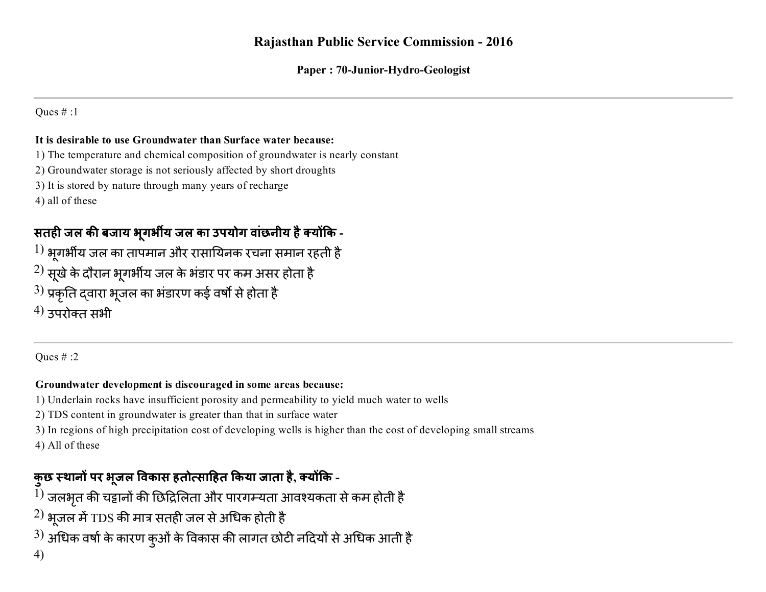### Rajasthan Public Service Commission 2016

#### Paper : 70-Junior-Hydro-Geologist

#### Ques # :1

#### It is desirable to use Groundwater than Surface water because:

- 1) The temperature and chemical composition of groundwater is nearly constant
- 2) Groundwater storage is not seriously affected by short droughts
- 3) It is stored by nature through many years of recharge

4) all of these

### सतही जल की बजाय भुगर्भीय जल का उपयोग वांछनीय है क्योंकि -

- $\ket{1}$  भूगर्भीय जल का तापमान और रासायिनक रचना समान रहती है
- $^{2)}$  सूखे के दौरान भूगर्भीय जल के भंडार पर कम असर होता है
- $^{3)}$  प्रकृति द्वारा भूजल का भंडारण कई वर्षो से होता है
- $^{(4)}$  उपरोक्त सभी

Ques # :2

#### Groundwater development is discouraged in some areas because:

- 1) Underlain rocks have insufficient porosity and permeability to yield much water to wells
- 2) TDS content in groundwater is greater than that in surface water
- 3) In regions of high precipitation cost of developing wells is higher than the cost of developing small streams 4) All of these

### कुछ स्थानों पर भूजल विकास हतोत्साहित किया जाता है, क्योंकि -

- $^{1)}$  जलभृत की चट्टानों की छिद्रिलिता और पारगम्यता आवश्यकता से कम होती है
- $^{2)}$  भूजल में TDS की मात्र सतही जल से अधिक होती है
- $^{3)}$  अधिक वर्षा के कारण कुओं के विकास की लागत छोटी नदियों से अधिक आती है
- 4)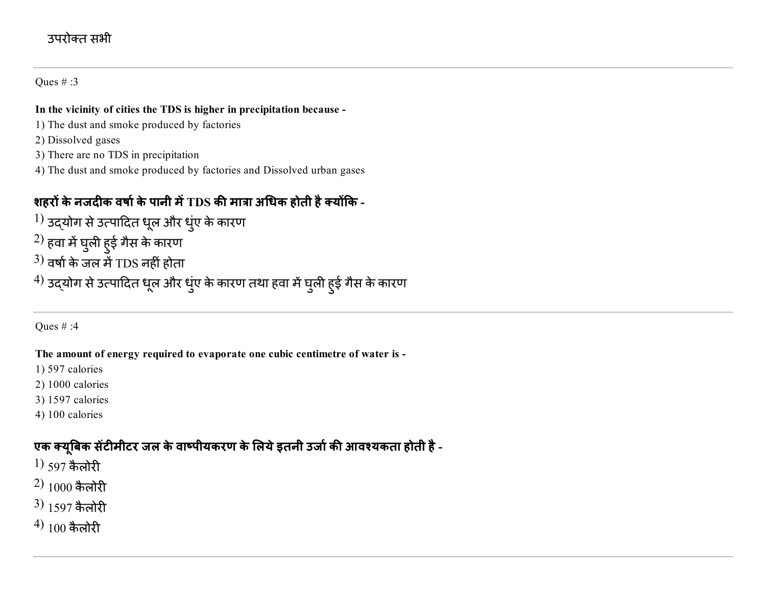### उपरोक्त सभी

#### Ques # :3

#### In the vicinity of cities the TDS is higher in precipitation because

- 1) The dust and smoke produced by factories
- 2) Dissolved gases
- 3) There are no TDS in precipitation
- 4) The dust and smoke produced by factories and Dissolved urban gases

### शहरों के नजदीक वर्षा के पानी में TDS की मात्रा अधिक होती है क्योंकि -

- $^{1)}$  उद्योग से उत्पादित धूल और धुंए के कारण
- $^{2)}$  हवा में घुली हुई गैस के कारण
- $^{3)}$  वर्षा के जल में TDS नहीं होता
- $^{4)}$  उद्योग से उत्पादित धूल और धुंए के कारण तथा हवा में घुली हुई गैस के कारण

#### Ques # :4

#### The amount of energy required to evaporate one cubic centimetre of water is

- 1) 597 calories
- 2) 1000 calories
- 3) 1597 calories
- 4) 100 calories

### एक क्यूबिक सेंटीमीटर जल के वाष्पीयकरण के लिये इतनी उर्जा की आवश्यकता होती है -

- $1)$  597 कैलोरी
- $2)$  1000 कैलोरी
- $3)$  1597 कैलोरी
- $(4)$  100 कैलोरी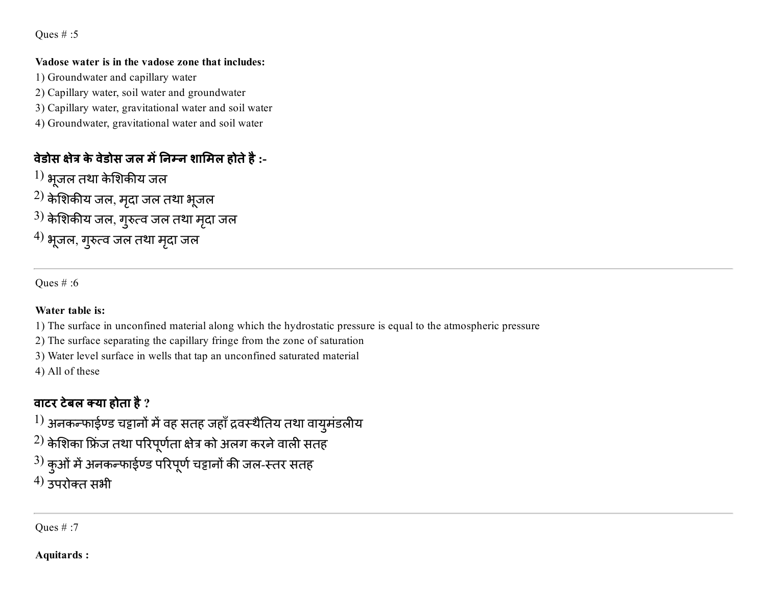Oues  $# : 5$ 

#### Vadose water is in the vadose zone that includes:

1) Groundwater and capillary water

- 2) Capillary water, soil water and groundwater
- 3) Capillary water, gravitational water and soil water
- 4) Groundwater, gravitational water and soil water

### वेडोस क्षेत्र के वेडोस जल में निम्न शामिल होते है :-

- $\left(1\right)$  भूजल तथा केशिकीय जल
- $^{2)}$  केशिकीय जल, मृदा जल तथा भूजल
- $^{\rm 3)}$  केशिकीय जल, गुरुत्व जल तथा मृदा जल
- $^{\prime 4)}$  भूजल, गुरुत्व जल तथा मृदा जल

Ques # :6

### Water table is:

1) The surface in unconfined material along which the hydrostatic pressure is equal to the atmospheric pressure

2) The surface separating the capillary fringe from the zone of saturation

3) Water level surface in wells that tap an unconfined saturated material

4) All of these

## वाटर टेबल क्या होता है  $?$

 $^{1)}$  अनकन्फाईण्ड चट्टानों में वह सतह जहाँ द्रवस्थैतिय तथा वायुमंडलीय

- $^{2)}$  केशिका फ्रिंज तथा परिपूर्णता क्षेत्र को अलग करने वाली सतह
- $^{3)}$  कुओं में अनकन्फाईण्ड परिपूर्ण चट्टानों की जल-स्तर सतह
- $^{(4)}$  उपरोक्त सभी

Ques # :7

Aquitards :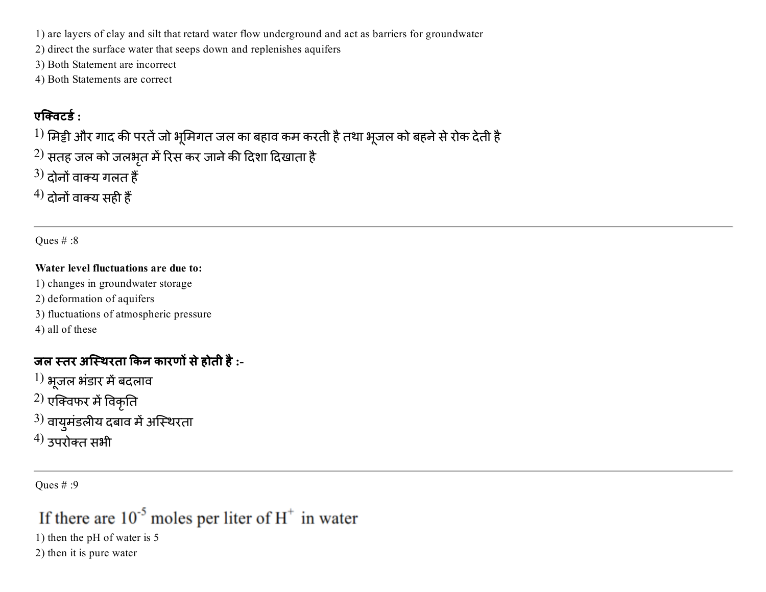1) are layers of clay and silt that retard water flow underground and act as barriers for groundwater

2) direct the surface water that seeps down and replenishes aquifers

3) Both Statement are incorrect

4) Both Statements are correct

### एक्विटर्ड :

 $^{1)}$  मिट्टी और गाद की परतें जो भूमिगत जल का बहाव कम करती है तथा भूजल को बहने से रोक देती है

 $^{2)}$  सतह जल को जलभृत में रिस कर जाने की दिशा दिखाता है

 $(3)$  दोनों वाक्य गलत हैं

 $^{4)}$  दोनों वाक्य सही हैं

Oues  $\#$  :8

#### Water level fluctuations are due to:

1) changes in groundwater storage

2) deformation of aquifers

3) fluctuations of atmospheric pressure

4) all of these

### जल स्तर अस्थिरता किन कारणों से होती है :-

 $\left(1\right)$  भूजल भंडार में बदलाव

 $^{2)}$  एक्विफर में विकृति

 $^{3)}$  वायुमंडलीय दबाव में अस्थिरता

 $^{(4)}$  उपरोक्त सभी

Ques # :9

# If there are  $10^{-5}$  moles per liter of  $H^+$  in water

1) then the pH of water is 5

2) then it is pure water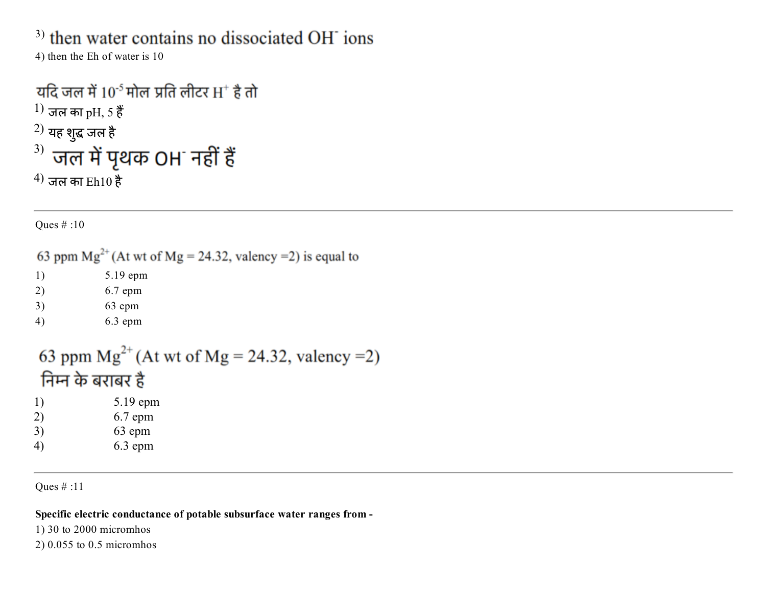<sup>3)</sup> then water contains no dissociated OH<sup>-</sup> ions

4) then the Eh of water is 10

# यदि जल में  $10^{-5}$  मोल प्रति लीटर  $H^+$  है तो  $1)$  जल का pH, 5 हैं  $^{2)}$  यह शुद्ध जल है $\,$  $3)$  जल में पृथक OH नहीं हैं  $^{(4)}$  जल का Eh10 है

Ques # :10

63 ppm  $Mg^{2+}$  (At wt of Mg = 24.32, valency = 2) is equal to

1) 5.19 epm

- 2) 6.7 epm
- 3) 63 epm

```
4) 6.3 epm
```
63 ppm  $Mg^{2+}$  (At wt of Mg = 24.32, valency = 2) निम्न के बराबर है

1) 5.19 epm 2) 6.7 epm 3) 63 epm 4) 6.3 epm

Ques # :11

Specific electric conductance of potable subsurface water ranges from

1) 30 to 2000 micromhos

2) 0.055 to 0.5 micromhos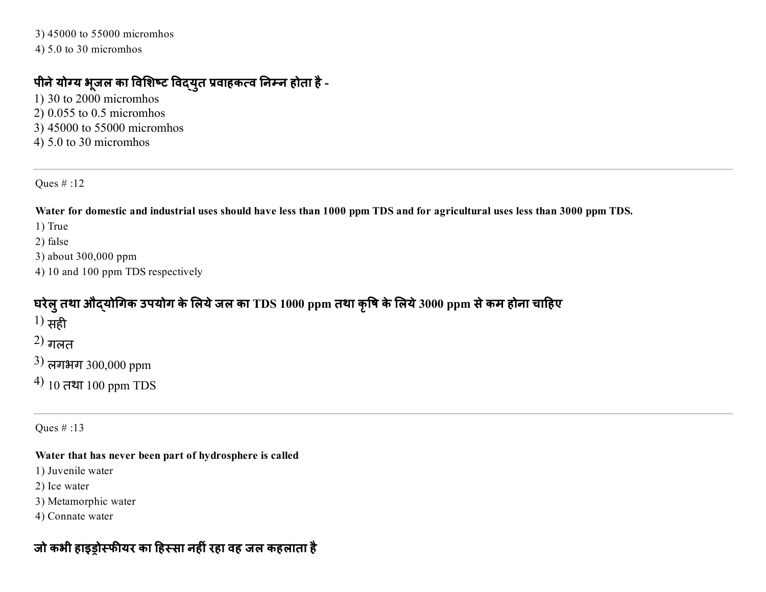3) 45000 to 55000 micromhos 4) 5.0 to 30 micromhos

### पीने योग्य भूजल का विशिष्ट विद्युत प्रवाहकत्व निम्न होता है -

1) 30 to 2000 micromhos 2) 0.055 to 0.5 micromhos 3) 45000 to 55000 micromhos 4) 5.0 to 30 micromhos

Ques # :12

Water for domestic and industrial uses should have less than 1000 ppm TDS and for agricultural uses less than 3000 ppm TDS.

1) True

2) false

3) about 300,000 ppm

4) 10 and 100 ppm TDS respectively

### घरेलु तथा औद्योगिक उपयोग के लिये जल का TDS 1000 ppm तथा कृषि के लिये 3000 ppm से कम होना चाहिए

 $^{1)}$  सही

 $(2)$  गलत

 $3)$  लगभग 300,000 ppm

 $^{(4)}$  10 तथा 100 ppm TDS

Ques # :13

#### Water that has never been part of hydrosphere is called

1) Juvenile water

2) Ice water

3) Metamorphic water

4) Connate water

### जो कभी हाइड़ोस्फीयर का हिस्सा नहीं रहा वह जल कहलाता है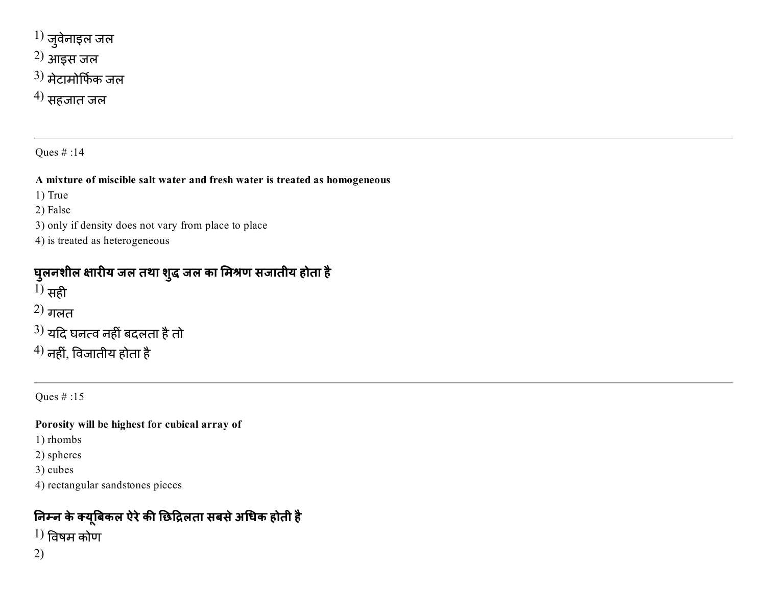- $^{1)}$  जुवेनाइल जल
- 2) आइस जल
- $^{3)}$  मेटामोर्फिक जल
- $^{(4)}$  सहजात जल

#### A mixture of miscible salt water and fresh water is treated as homogeneous

1) True

2) False

- 3) only if density does not vary from place to place
- 4) is treated as heterogeneous

### घुलनशील क्षारीय जल तथा शुद्ध जल का मिश्रण सजातीय होता है

 $1)$  सही

- $2)$  गलत
- $^{3)}$  यदि घनत्व नहीं बदलता है तो
- $^{4)}$  नहीं, विजातीय होता है

Ques # :15

### Porosity will be highest for cubical array of

1) rhombs

- 2) spheres
- 3) cubes
- 4) rectangular sandstones pieces

## निम्न के क्यूबिकल ऐरे की छिद्रिलता सबसे अधिक होती है

- $1)$  विषम कोण
- 2)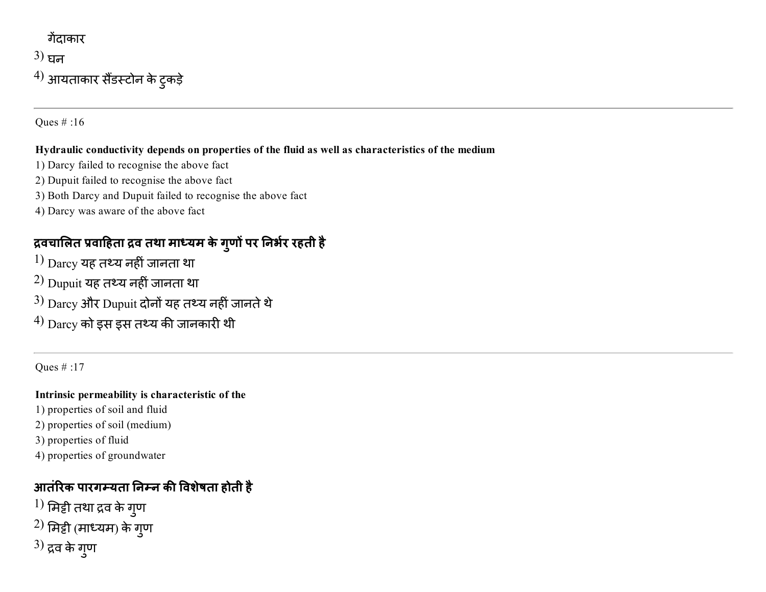## गेंदाकार  $3)$  घन

 $^{4)}$  आयताकार सैंडस्टोन के टुकड़े

Ques # :16

#### Hydraulic conductivity depends on properties of the fluid as well as characteristics of the medium

- 1) Darcy failed to recognise the above fact
- 2) Dupuit failed to recognise the above fact
- 3) Both Darcy and Dupuit failed to recognise the above fact
- 4) Darcy was aware of the above fact

## द्रवचालित प्रवाहिता द्रव तथा माध्यम के गुणो पर निर्भर रहती है

- $1)$   $\rm{Darcy}$  यह तथ्य नहीं जानता था
- $^{2)}$  Dupuit यह तथ्य नहीं जानता था
- $3)$  Darcy और Dupuit दोनों यह तथ्य नहीं जानते थे
- $^{4)}$   $_{\rm{Darcy}}$  को इस इस तथ्य की जानकारी थी

Ques # :17

### Intrinsic permeability is characteristic of the

- 1) properties of soil and fluid
- 2) properties of soil (medium)
- 3) properties of fluid
- 4) properties of groundwater

## आतंरिक पारगम्यता निम्न की विशेषता होती है

 $^{1)}$  मिट्टी तथा द्रव के गुण  $^{2)}$  मिट्टी (माध्यम) के गुण  $^{3)}$  द्रव के गुण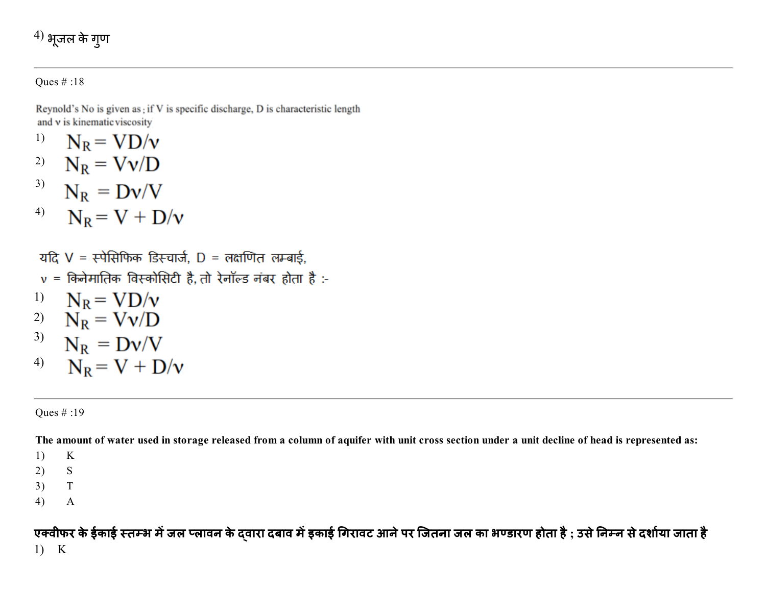$$
^{4)}
$$
 भूजल के गुण

Reynold's No is given as ; if V is specific discharge, D is characteristic length and v is kinematic viscosity

- $N_R = V D/v$ 1)
- $N_R = Vv/D$ 2) 3)  $N_R = Dv/V$
- $N_R = V + D/v$ 4)

यदि  $V = \overline{x}$ पेसिफिक डिस्चार्ज, D = लक्षणित लम्बाई,  $v = 6$ केनेमातिक विस्कोसिटी है, तो रेनॉल्ड नंबर होता है :-1)  $N_R = V D/v$ 2)  $N_R = Vv/D$ <sup>3)</sup>  $N_R = Dv/V$ 

4)  $N_R = V + D/v$ 

#### Ques # :19

The amount of water used in storage released from a column of aquifer with unit cross section under a unit decline of head is represented as:

1) K

- 2) S
- 3) T
- 4) A

एक्वीफर के ईकाई स्तम्भ में जल प्लावन के द्वारा दबाव में इकाई गिरावट आने पर जितना जल का भण्डारण होता है ; उसे निम्न से दर्शाया जाता है 1) K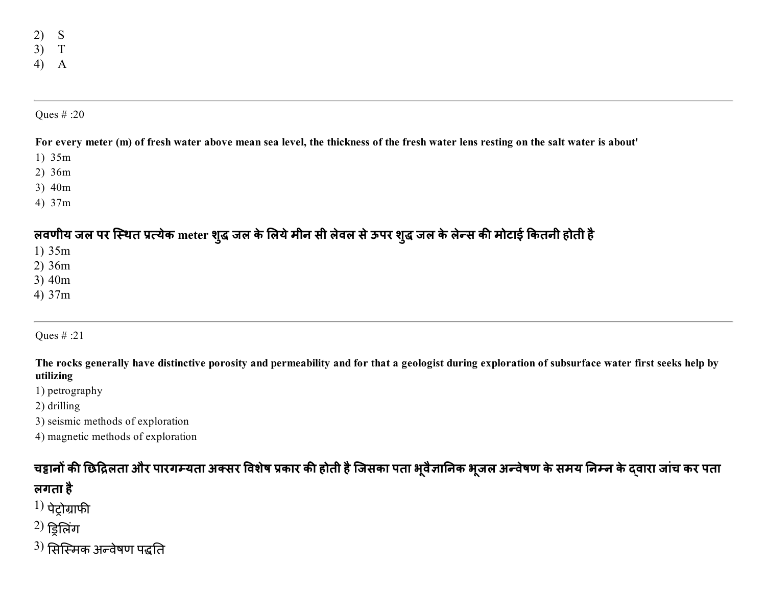2) S 3) T 4) A

#### Ques # :20

#### For every meter (m) of fresh water above mean sea level, the thickness of the fresh water lens resting on the salt water is about'

- 1) 35m
- 2) 36m
- 3) 40m
- 4) 37m

### लवणीय जल पर स्थित प्रत्येक meter शुद्ध जल के लिये मीन सी लेवल से ऊपर शुद्ध जल के लेन्स की मोटाई कितनी होती है

- 1) 35m
- 2) 36m
- 3) 40m
- 4) 37m

### Ques # :21

The rocks generally have distinctive porosity and permeability and for that a geologist during exploration of subsurface water first seeks help by utilizing

- 1) petrography
- 2) drilling
- 3) seismic methods of exploration
- 4) magnetic methods of exploration

### चद्दानों की छिद्रिलता और पारगम्यता अक्सर विशेष प्रकार की होती है जिसका पता भूवैज्ञानिक भूजल अन्वेषण के समय निम्न के दवारा जांच कर पता लगता है

- $1)$  पेटोग्राफी
- $^{2)}$ ड्रिलिंग
- $^{\rm 3)}$  सिस्मिक अन्वेषण पद्धति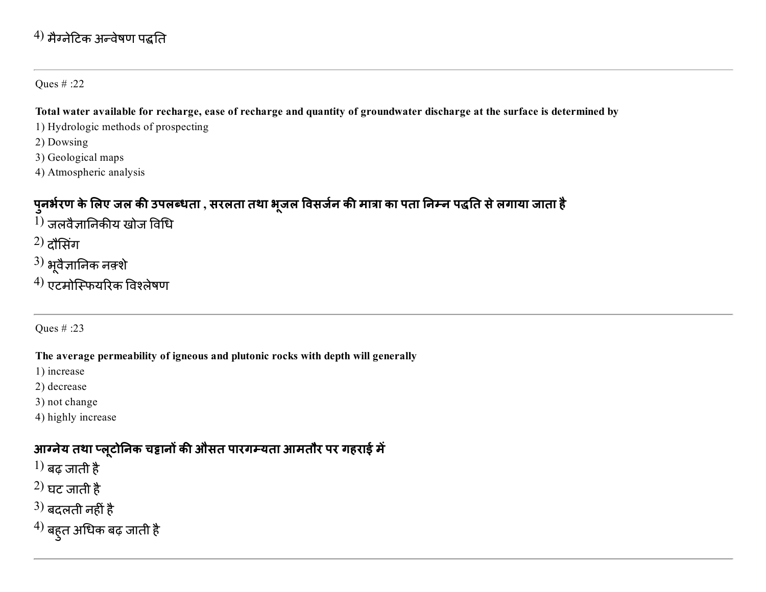### $^{4)}$  मैग्नेटिक अन्वेषण पद्धति

#### Ques # :22

#### Total water available for recharge, ease of recharge and quantity of groundwater discharge at the surface is determined by

- 1) Hydrologic methods of prospecting
- 2) Dowsing
- 3) Geological maps
- 4) Atmospheric analysis

## पुनर्भरण के लिए जल की उपलब्धता , सरलता तथा भूजल विसर्जन की मात्रा का पता निम्न पद्धति से लगाया जाता है

- $^{1)}$  जलवैज्ञानिकीय खोज विधि
- $^{2)}$  दौसिंग
- $3)$  भूवैज्ञानिक नक़्शे
- $^{4)}$  एटमोस्फियरिक विश्लेषण

### Ques # :23

### The average permeability of igneous and plutonic rocks with depth will generally

- 1) increase
- 2) decrease
- 3) not change
- 4) highly increase

## आग्नेय तथा प्लूटोनिक चट्टानों की औसत पारगम्यता आमतौर पर गहराई में

- $1)$  बढ़ जाती है
- $^{2)}$  घट जाती है
- $^{3)}$  बदलती नहीं है
- $^{\prime 4)}$  बहुत अधिक बढ़ जाती है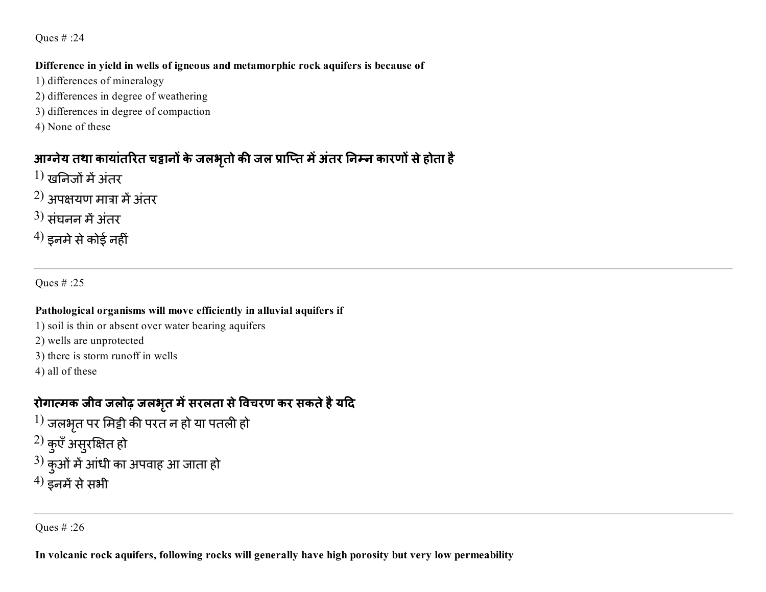#### Difference in yield in wells of igneous and metamorphic rock aquifers is because of

- 1) differences of mineralogy
- 2) differences in degree of weathering
- 3) differences in degree of compaction
- 4) None of these

## आग्नेय तथा कायातरित चट्टानों के जलभृतों की जल प्राप्ति में अतर निम्न कारणों से होता है

- $1)$  खनिजों में अंतर
- $(2)$  अपक्षयण मात्रा में अंतर
- $3)$  संघनन में अंतर
- $^{(4)}$  इनमे से कोई नहीं

Ques # :25

### Pathological organisms will move efficiently in alluvial aquifers if

- 1) soil is thin or absent over water bearing aquifers
- 2) wells are unprotected
- 3) there is storm runoff in wells
- 4) all of these

## रोगात्मक जीव जलोढ़ जलभृत में सरलता से विचरण कर सकते हैं यदि

- $^{1)}$  जलभृत पर मिट्टी की परत न हो या पतली हो
- $^{2)}$  कुएँ असुरक्षित हो
- $^{3)}$  कुओं में आंधी का अपवाह आ जाता हो
- $^{(4)}$  इनमें से सभी

Ques # :26

In volcanic rock aquifers, following rocks will generally have high porosity but very low permeability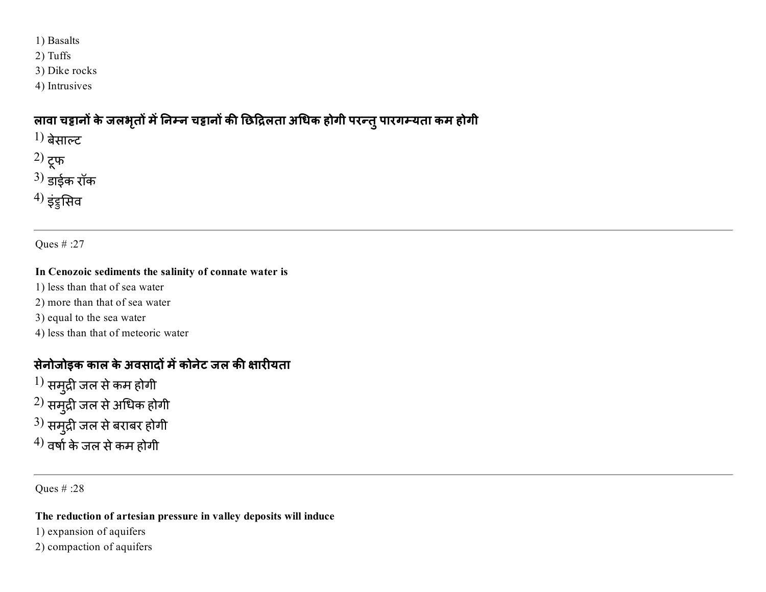- 1) Basalts
- 2) Tuffs
- 3) Dike rocks
- 4) Intrusives

### लावा चट्टानो के जलभृतो में निम्न चट्टानो की छिद्रिलता अधिक होगी परन्तु पारगम्यता कम होगी

- $1)$  बेसाल्ट
- 2) टूफ
- $3)$  डाईक रॉक
- $^{4)}$  इंड्रुसिव

Ques # :27

#### In Cenozoic sediments the salinity of connate water is

- 1) less than that of sea water
- 2) more than that of sea water
- 3) equal to the sea water
- 4) less than that of meteoric water

### सेनोजोइक काल के अवसादों में कोनेट जल की क्षारीयता

 $^{\rm 1)}$  समुद्री जल से कम होगी  $^{\rm 2)}$  समुद्री जल से अधिक होगी  $^{\rm 3)}$  समुद्री जल से बराबर होगी  $^{4)}$  वर्षा के जल से कम होगी

Ques # :28

#### The reduction of artesian pressure in valley deposits will induce

- 1) expansion of aquifers
- 2) compaction of aquifers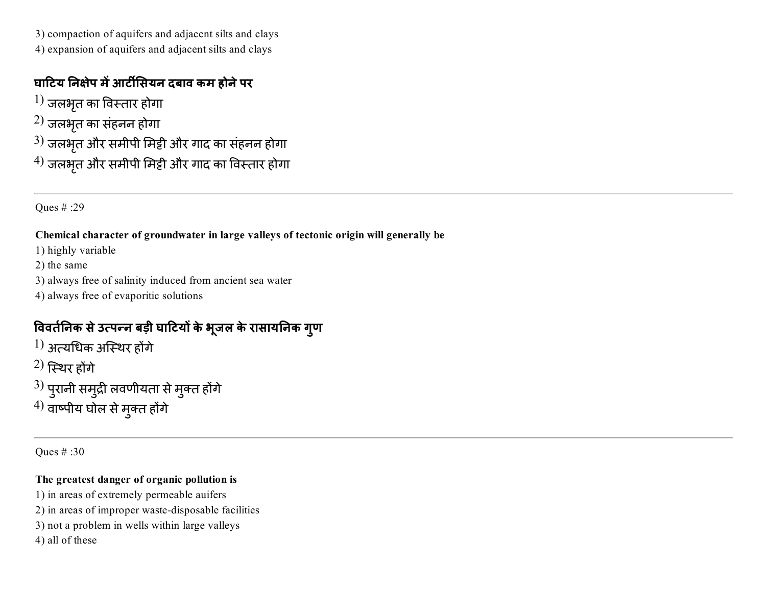3) compaction of aquifers and adjacent silts and clays

4) expansion of aquifers and adjacent silts and clays

### घाटिय निक्षेप में आर्टीसियन दबाव कम होने पर

- $\left\vert 1\right)$  जलभृत का विस्तार होगा
- $^{\rm 2)}$  जलभृत का संहनन होगा
- $^{3)}$  जलभृत और समीपी मिट्टी और गाद का संहनन होगा
- $^{4)}$  जलभृत और समीपी मिट्टी और गाद का विस्तार होगा

Ques # :29

### Chemical character of groundwater in large valleys of tectonic origin will generally be

- 1) highly variable
- 2) the same
- 3) always free of salinity induced from ancient sea water
- 4) always free of evaporitic solutions

## विवतीनेक से उत्पन्न बड़ी घाटियों के भूजल के रासायनिक गुण

- $^{\rm 1)}$  अत्यधिक अस्थिर होंगे
- $\,2)$  स्थिर होंगे
- $^{\rm 3)}$  पुरानी समुद्री लवणीयता से मुक्त होंगे
- $^{\prime 4)}$  वाष्पीय घोल से मुक्त होंगे

Ques # :30

### The greatest danger of organic pollution is

- 1) in areas of extremely permeable auifers
- 2) in areas of improper waste-disposable facilities
- 3) not a problem in wells within large valleys
- 4) all of these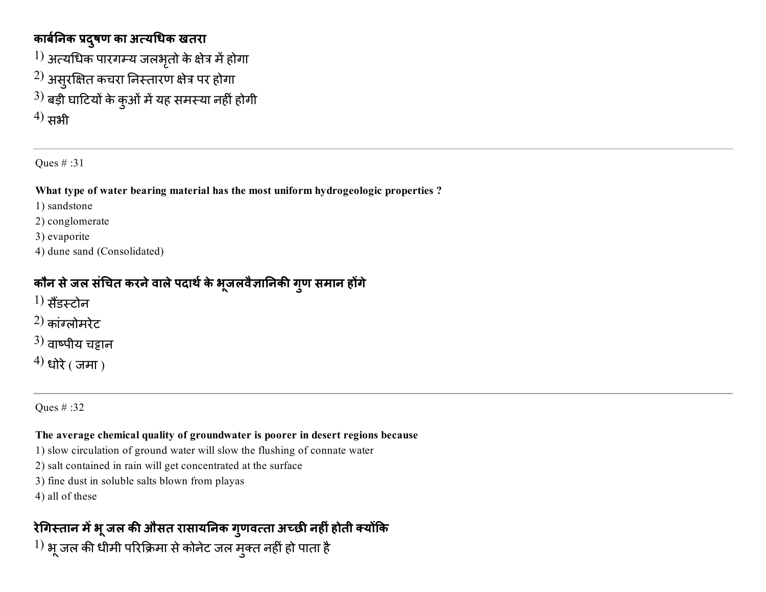### कार्बनिक प्रदुषण का अत्यधिक खतरा

- $^{1)}$  अत्यधिक पारगम्य जलभृतो के क्षेत्र में होगा
- $^{2)}$  असुरक्षित कचरा निस्तारण क्षेत्र पर होगा
- $^{3)}$  बड़ी घाटियों के कुओं में यह समस्या नहीं होगी

 $^{(4)}$  सभी

Ques # :31

#### What type of water bearing material has the most uniform hydrogeologic properties ?

1) sandstone

2) conglomerate

3) evaporite

4) dune sand (Consolidated)

### कौन से जल सचित करने वाले पदार्थ के भूजलवैज्ञानिकी गुण समान होगे

- $1)$  सैंडम्टोन
- $2)$  कांग्लोमरेट
- $(3)$  वाष्पीय चंद्रान
- $^{(4)}$  धोरे ( जमा)

Ques # :32

#### The average chemical quality of groundwater is poorer in desert regions because

- 1) slow circulation of ground water will slow the flushing of connate water
- 2) salt contained in rain will get concentrated at the surface
- 3) fine dust in soluble salts blown from playas
- 4) all of these

## रेगिस्तान मे भू जल की औसत रासायनिक गुणवत्ता अच्छी नहीं होती क्योंकि

 $^{1)}$  भू जल की धीमी परिक्रिमा से कोनेट जल मुक्त नहीं हो पाता है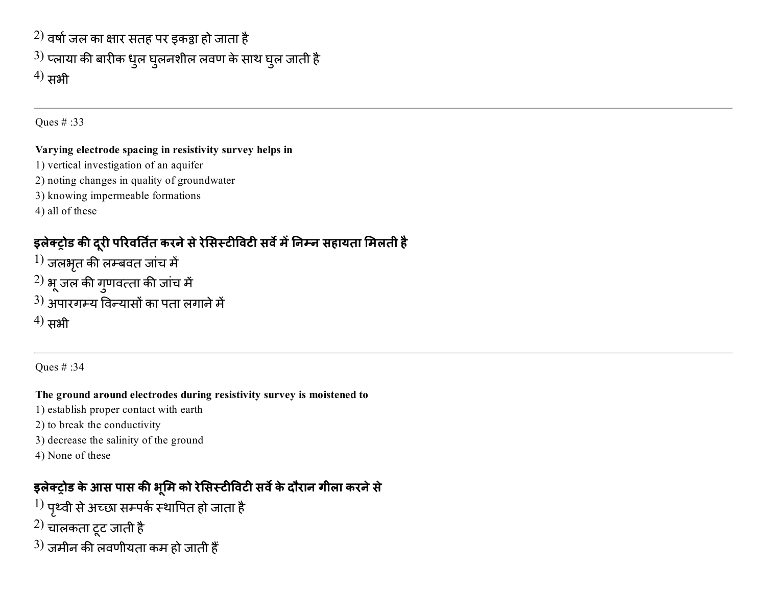$\left( 2\right)$  वर्षा जल का क्षार सतह पर इकट्ठा हो जाता है  $^{3)}$  प्लाया की बारीक धुल घुलनशील लवण के साथ घुल जाती है  $^{(4)}$  सभी

Ques # :33

#### Varying electrode spacing in resistivity survey helps in

- 1) vertical investigation of an aquifer
- 2) noting changes in quality of groundwater
- 3) knowing impermeable formations
- 4) all of these

## इलेक्ट्रोड की दूरी परिवर्तित करने से रेसिस्टीविटी सर्वे में निम्न सहायता मिलती है

- $^{1)}$  जलभृत की लम्बवत जांच में
- $^{2)}$  भू जल की गुणवत्ता की जांच में
- $(3)$  अपारगम्य विन्यासों का पता लगाने में
- $^{(4)}$  सभी

Ques # :34

### The ground around electrodes during resistivity survey is moistened to

- 1) establish proper contact with earth
- 2) to break the conductivity
- 3) decrease the salinity of the ground
- 4) None of these

## इलेक्ट्रोड के आस पास की भूमि को रेसिस्टीविटी सर्वे के दौरान गीला करने से

- $^{1)}$  पृथ्वी से अच्छा सम्पर्क स्थापित हो जाता है
- 2) चालकता टूट जाती है
- $(3)$  जमीन की लवणीयता कम हो जाती हैं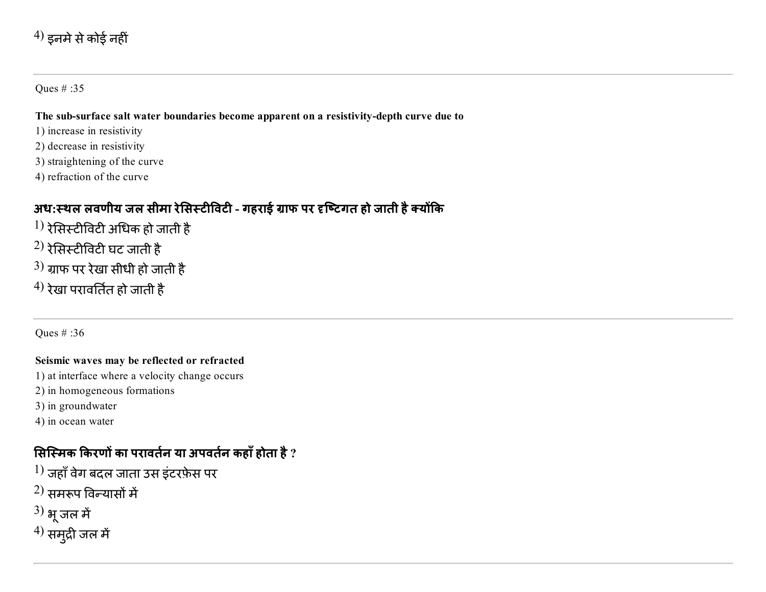### $^{4)}$  इनमे से कोई नहीं

#### Ques # :35

#### The sub-surface salt water boundaries become apparent on a resistivity-depth curve due to

- 1) increase in resistivity
- 2) decrease in resistivity
- 3) straightening of the curve
- 4) refraction of the curve

### अध:स्थल लवणीय जल सीमा रेसिस्टीविटी - गहराई ग्राफ पर दृष्टिगत हो जाती है क्योंकि

- $^{1)}$  रेसिस्टीविटी अधिक हो जाती है
- $^{2)}$  रेसिस्टीविटी घट जाती है
- $^{3)}$  ग्राफ पर रेखा सीधी हो जाती है
- $^{4)}$  रेखा परावर्तित हो जाती है

Ques # :36

#### Seismic waves may be reflected or refracted

- 1) at interface where a velocity change occurs
- 2) in homogeneous formations
- 3) in groundwater
- 4) in ocean water

### सिस्मिक किरणों का परावर्तन या अपवर्तन कहाँ होता है ?

- $^{1)}$  जहाँ वेग बदल जाता उस इंटरफ़ेस पर
- $(2)$  समरूप विन्यासों में
- $^{3)}$  भू जल में
- $^{4)}$  समुद्री जल में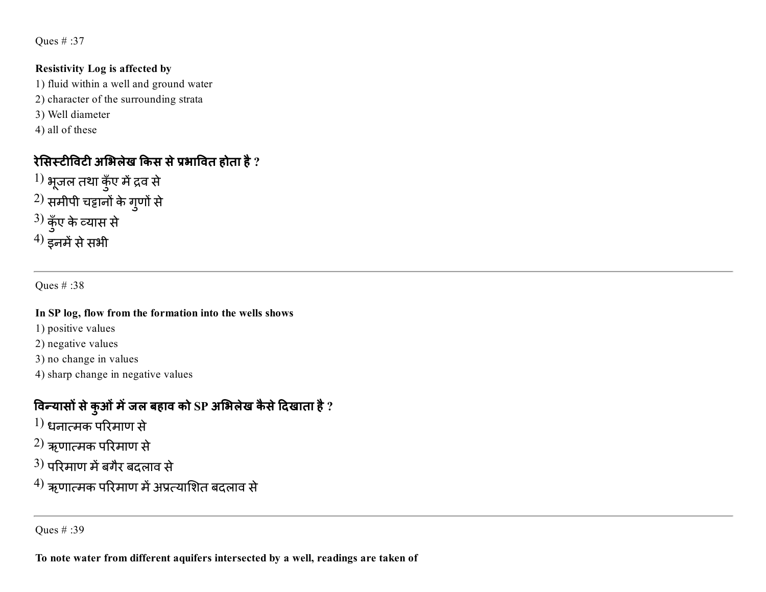#### Resistivity Log is affected by

- 1) fluid within a well and ground water
- 2) character of the surrounding strata
- 3) Well diameter
- 4) all of these

## रेसिस्टीविटी अभिलेख किस से प्रभावित होता है ?

- $^{1)}$  भूजल तथा कुँए में द्रव से  $^{2)}$  समीपी चट्टानों के गुणों से  $^{3)}$  कुँए के व्यास से
- $^{(4)}$  इनमें से सभी

Ques # :38

#### In SP log, flow from the formation into the wells shows

- 1) positive values
- 2) negative values
- 3) no change in values
- 4) sharp change in negative values

### विन्यासो से कुओं में जल बहाव को SP अभिलेख कैसे दिखाता है ?

- $\rm ^1$ ) धनात्मक परिमाण से
- $\rm ^2$ ) ऋणात्मक परिमाण से
- $(3)$  परिमाण में बगैर बदलाव से
- $^{\prime 4)}$  ऋणात्मक परिमाण में अप्रत्याशित बदलाव से

Ques # :39

To note water from different aquifers intersected by a well, readings are taken of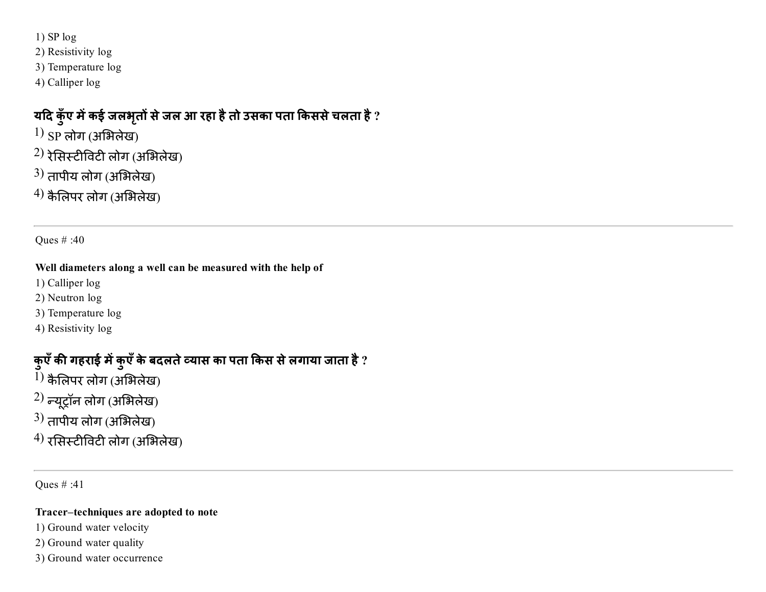1) SP log

2) Resistivity log

3) Temperature log

4) Calliper log

### यदि कुँए में कई जलभृतों से जल आ रहा है तो उसका पता किससे चलता है ?

 $1)$  SP लोग (अभिलेख)

 $^{2)}$  रेसिस्टीविटी लोग (अभिलेख)

 $^{3)}$  तापीय लोग (अभिलेख)

 $^{4)}$  कैलिपर लोग (अभिलेख)

Ques # :40

#### Well diameters along a well can be measured with the help of

1) Calliper log

2) Neutron log

3) Temperature log

4) Resistivity log

## कुएँ की गहराई में कुएँ के बदलते व्यास का पता किस से लगाया जाता है ?

 $1)$  कैलिपर लोग (अभिलेख)

 $(2)$  न्यूट्रॉन लोग (अभिलेख)

 $^{3)}$  तापीय लोग (अभिलेख)

 $^{4)}$  रसिस्टीविटी लोग (अभिलेख)

Ques # :41

#### Tracer–techniques are adopted to note

1) Ground water velocity

2) Ground water quality

3) Ground water occurrence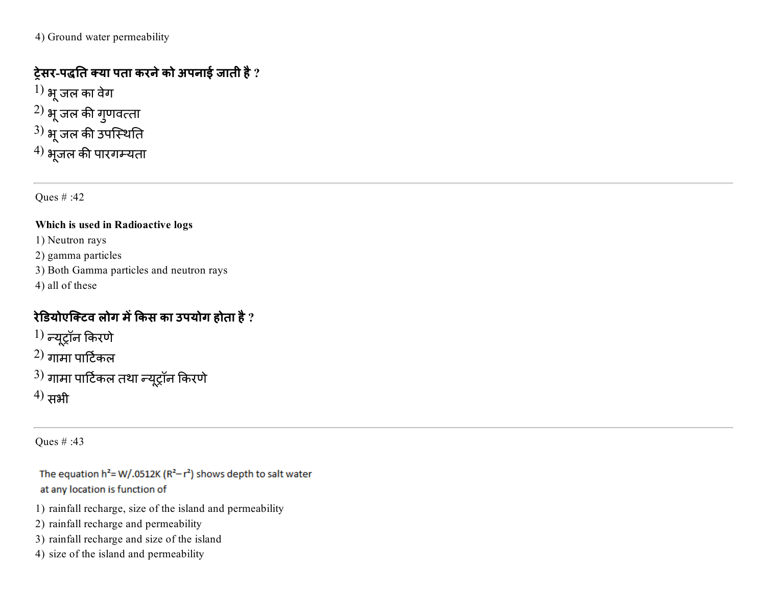4) Ground water permeability

### ट्रेसर-पद्धति क्या पता करने को अपनाई जाती है ?

 $\left( 1\right)$  भू जल का वेग $\left( 1\right)$  $^{\rm 2)}$  भू जल की गुणवत्ता  $^{3)}$  भू जल की उपस्थिति  $^{4)}$  भूजल की पारगम्यता

Ques # :42

#### Which is used in Radioactive logs

1) Neutron rays

2) gamma particles

- 3) Both Gamma particles and neutron rays
- 4) all of these

## रेडियोएक्टिव लोग में किस का उपयोग होता है ?

 $\left( 1\right)$  न्यूट्रॉन किरणे  $(2)$  गामा पार्टिकल  $^{3)}$  गामा पार्टिकल तथा न्यूट्रॉन किरणे

 $^{(4)}$  सभी

Ques # :43

The equation  $h^2 = W/.0512K (R^2 - r^2)$  shows depth to salt water at any location is function of

1) rainfall recharge, size of the island and permeability

- 2) rainfall recharge and permeability
- 3) rainfall recharge and size of the island
- 4) size of the island and permeability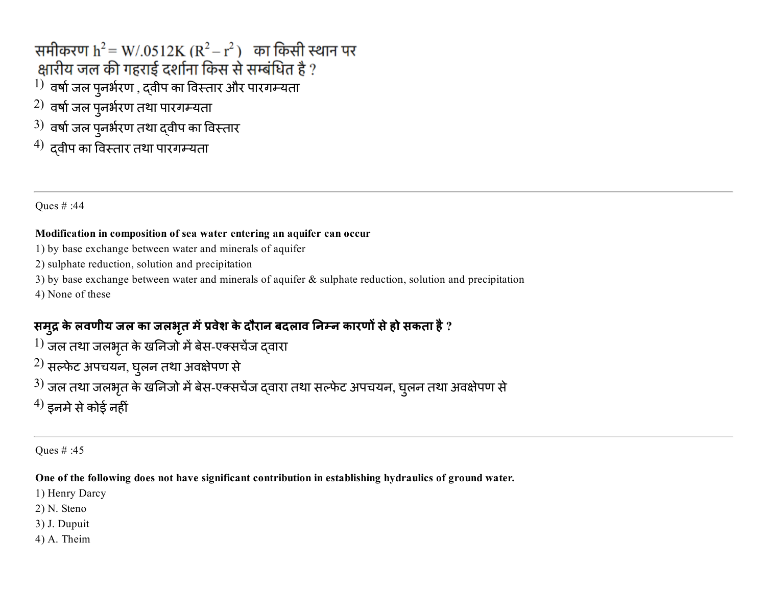समीकरण  $h^2 = W/0.0512K (R^2 - r^2)$  का किसी स्थान पर क्षारीय जल की गहराई दर्शाना किस से सम्बंधित है ?  $^{1)}$  वर्षा जल पुनर्भरण , दवीप का विस्तार और पारगम्यता  $^{2)}$  वर्षा जल पुनर्भरण तथा पारगम्यता  $^{3)}$  वर्षा जल पुनर्भरण तथा द्वीप का विस्तार  $^{4)}$  दवीप का विस्तार तथा पारगम्यता

Ques # :44

#### Modification in composition of sea water entering an aquifer can occur

1) by base exchange between water and minerals of aquifer

2) sulphate reduction, solution and precipitation

3) by base exchange between water and minerals of aquifer & sulphate reduction, solution and precipitation

4) None of these

### समुद्र के लवणीय जल का जलभृत में प्रवेश के दौरान बदलाव निम्न कारणों से हो सकता है ?

 $\ket{1}$  जल तथा जलभृत के खनिजो में बेस-एक्सचेंज द्वारा

 $^{2)}$  सल्फेट अपचयन, घुलन तथा अवक्षेपण से

 $^{3)}$  जल तथा जलभृत के खनिजो में बेस-एक्सचेंज द्वारा तथा सल्फेट अपचयन, घुलन तथा अवक्षेपण से

 $^{(4)}$  इनमे से कोई नहीं

Ques # :45

One of the following does not have significant contribution in establishing hydraulics of ground water.

1) Henry Darcy

2) N. Steno

3) J. Dupuit

4) A. Theim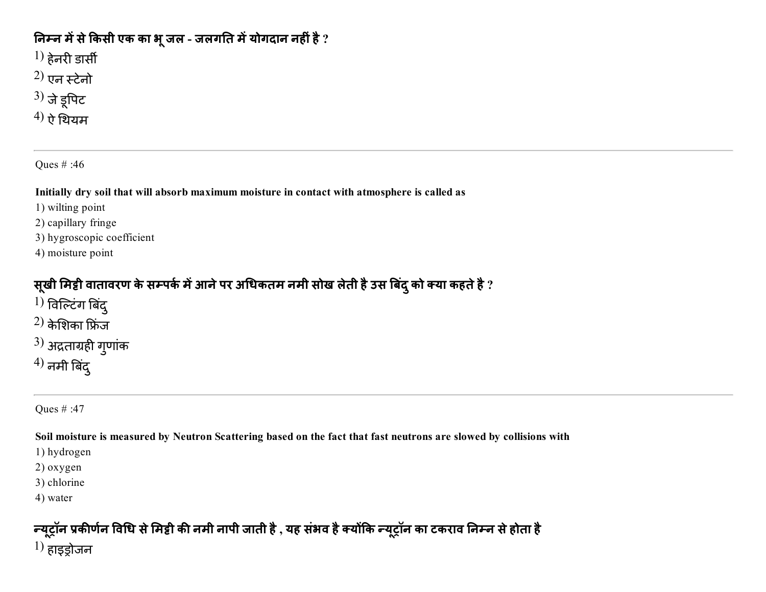### निम्न में से किसी एक का भू जल - जलगति में योगदान नहीं है ?

 $^{1)}$  हेनरी डार्सी

- $^{(2)}$  एन स्टेनो
- $3)$  जे डूपिट
- $^{\prime 4) }$  ऐ थियम

Ques # :46

Initially dry soil that will absorb maximum moisture in contact with atmosphere is called as

- 1) wilting point
- 2) capillary fringe
- 3) hygroscopic coefficient
- 4) moisture point

## सूखी मिट्टी वातावरण के सम्पर्क में आने पर अधिकतम नमी सोख लेती है उस बिंदु को क्या कहते है ?

- $^{1)}$  विल्टिंग बिंदु $^{\,}$
- $(2)$  केशिका फ्रिंज
- $^{3)}$  अद्रताग्रही गुणांक
- $^{(4)}$  नमी बिंद्

### Ques # :47

#### Soil moisture is measured by Neutron Scattering based on the fact that fast neutrons are slowed by collisions with

1) hydrogen

- 2) oxygen
- 3) chlorine
- 4) water

## न्यूट्रॉन प्रकीर्णन विधि से मिट्टी की नमी नापी जाती है , यह संभव है क्योंकि न्यूट्रॉन का टकराव निम्न से होता है

 $\left(1\right)$  हाइडोजन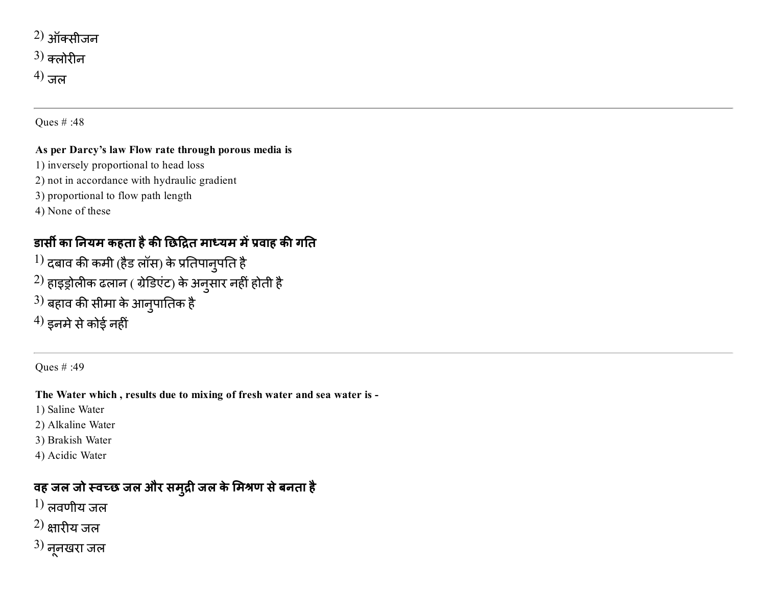$(2)$  ऑक्सीजन  $3)$  कलोरीन  $^{(4)}$  जल

Ques # :48

#### As per Darcy's law Flow rate through porous media is

- 1) inversely proportional to head loss
- 2) not in accordance with hydraulic gradient
- 3) proportional to flow path length
- 4) None of these

### डार्सी का नियम कहता है की छिद्रित माध्यम में प्रवाह की गति

- $^{1)}$  दबाव की कमी (हैड लॉस) के प्रतिपानुपति है
- $^{2)}$  हाइड्रोलीक ढलान ( ग्रेडिएंट) के अनुसार नहीं होती है
- $^{3)}$  बहाव की सीमा के आनुपातिक है
- $^{(4)}$  इनमे से कोई नहीं

Ques # :49

The Water which , results due to mixing of fresh water and sea water is

- 1) Saline Water
- 2) Alkaline Water
- 3) Brakish Water
- 4) Acidic Water

### वह जल जो स्वच्छ जल और समुद्री जल के मिश्रण से बनता है

- $\left( 1\right)$  लवणीय जल
- $(2)$  क्षारीय जल
- $3)$  नूनखरा जल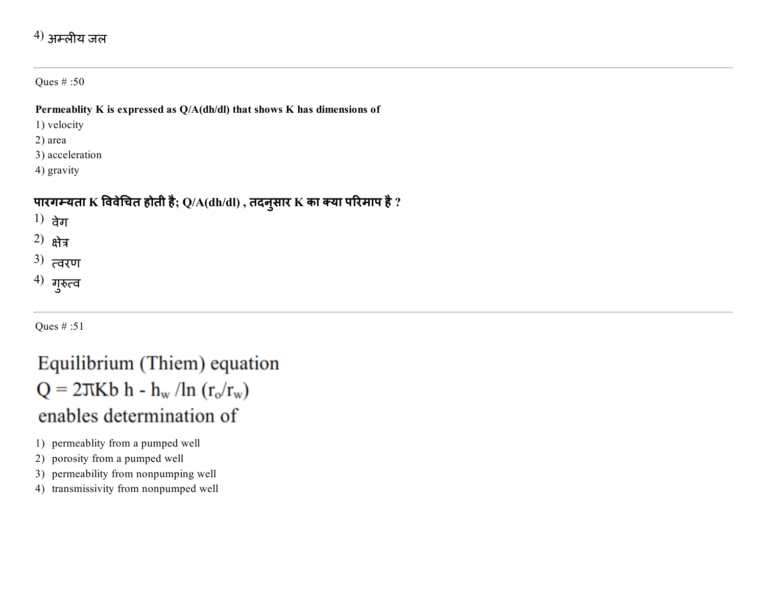### $^{4)}$  अम्लीय जल

Ques # :50

#### Permeablity K is expressed as Q/A(dh/dl) that shows K has dimensions of

1) velocity

2) area

3) acceleration

4) gravity

### पारगम्यता  $\bf K$  विवेचित होती है;  ${\rm Q}/{\rm A}$ (dh/dl) , तदनुसार  $\bf K$  का क्या परिमाप है ?

 $1)$  वेग

2)  $$\theta$ वेत्र$ 

 $^{3)}$  त्वरण

 $^{4)}$  गुरुत्व

Ques # :51

# Equilibrium (Thiem) equation  $Q = 2\pi Kb h - h_w / ln (r_o/r_w)$ enables determination of

1) permeablity from a pumped well

2) porosity from a pumped well

3) permeability from nonpumping well

4) transmissivity from nonpumped well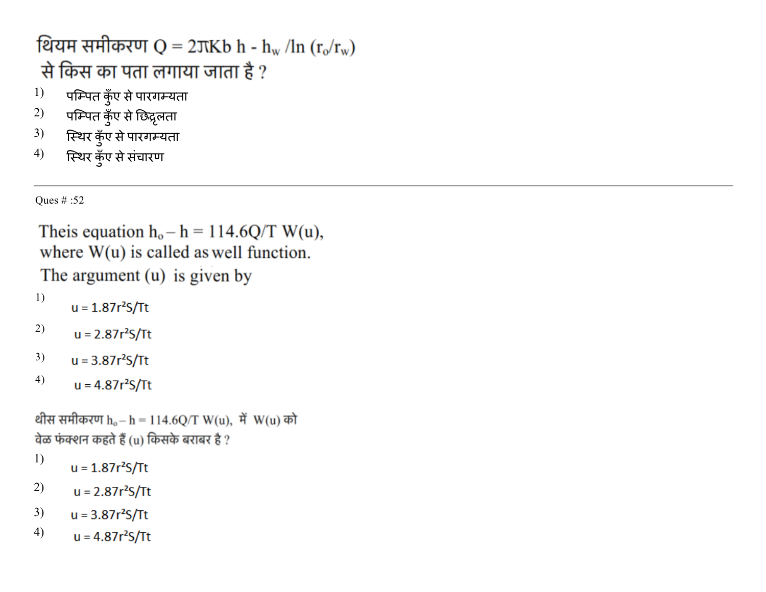थियम समीकरण Q = 2 $\nabla$ Kb h - h<sub>w</sub> /ln (r<sub>o</sub>/r<sub>w</sub>) से किस का पता लगाया जाता है ?

- $^{1)}$  पम्पित कुँए से पारगम्यता
- $^{2)}$  पम्पित कुँए से छिद्रृलता
- 3) स्थिर कुँए से पारगम्यता
- 4) स्थिर कुँए से सचारण

Ques # :52

```
Theis equation h_o - h = 114.6Q/T W(u),
where W(u) is called as well function.
The argument (u) is given by
1)
      u = 1.87r<sup>2</sup>S/Tt2)
       u = 2.87r<sup>2</sup>S/Tt3)
      u = 3.87r<sup>2</sup>S/Tt4)
       u = 4.87r<sup>2</sup>S/Ttथीस समीकरण h_o - h = 114.6Q/T W(u), में W(u) को
वेळ फंक्शन कहते हैं (u) किसके बराबर है ?
```
- 1)  $u = 1.87r<sup>2</sup>S/Tt$
- 2)  $u = 2.87r<sup>2</sup>S/Tt$
- 3)  $u = 3.87r<sup>2</sup>S/Tt$
- 4) $u = 4.87r<sup>2</sup>S/Tt$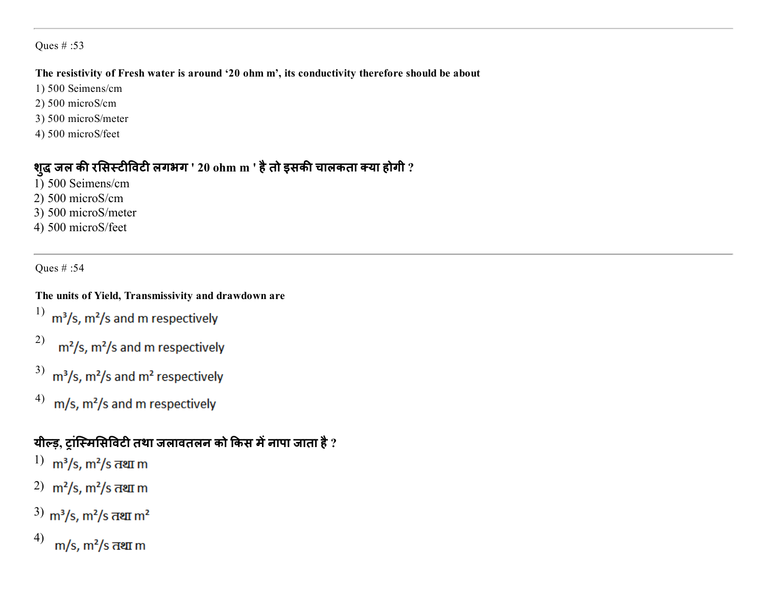#### The resistivity of Fresh water is around '20 ohm m', its conductivity therefore should be about

- 1) 500 Seimens/cm
- 2) 500 microS/cm
- 3) 500 microS/meter
- 4) 500 microS/feet

### शुद्ध जल की रसिस्टीविटी लगभग ' 20 ohm m ' है तो इसकी चालकता क्या होगी ?

- 1) 500 Seimens/cm
- 2) 500 microS/cm
- 3) 500 microS/meter
- 4) 500 microS/feet

Ques # :54

### The units of Yield, Transmissivity and drawdown are

- 1)  $m^3/s$ ,  $m^2/s$  and m respectively
- 2)  $m^2/s$ ,  $m^2/s$  and m respectively
- 3) m<sup>3</sup>/s, m<sup>2</sup>/s and m<sup>2</sup> respectively
- 4) m/s, m<sup>2</sup>/s and m respectively

### यील्ड, टांस्मिसिविटी तथा जलावतलन को किस में नापा जाता है ?

- 1)  $m^3/s$ ,  $m^2/s$  तथा m
- 2)  $m^2/s$ ,  $m^2/s$  तथा m
- $3)$  m<sup>3</sup>/s, m<sup>2</sup>/s तथा m<sup>2</sup>
- 4)m/s, m<sup>2</sup>/s तथा m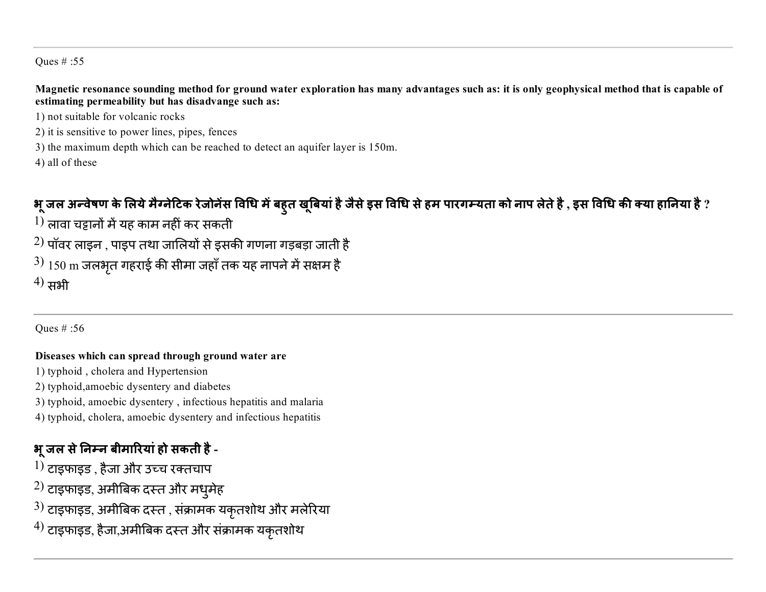Magnetic resonance sounding method for ground water exploration has many advantages such as: it is only geophysical method that is capable of estimating permeability but has disadvange such as:

- 1) not suitable for volcanic rocks
- 2) it is sensitive to power lines, pipes, fences
- 3) the maximum depth which can be reached to detect an aquifer layer is 150m.
- 4) all of these

## भू जल अन्वेषण के लिये मैग्नेटिक रेजोनेस विधि में बहुत खूबिया है जैसे इस विधि से हम पारगम्यता को नाप लेते है , इस विधि की क्या हानिया है ?

- $\left(1\right)$  लावा चड़ानों में यह काम नहीं कर सकती
- $^{2)}$  पॉवर लाइन , पाइप तथा जालियों से इसकी गणना गड़बड़ा जाती है
- $^{3)}$   $150\ \mathrm{m}$  जलभृत गहराई की सीमा जहाँ तक यह नापने में सक्षम है  $^{(4)}$  सभी

Ques # :56

#### Diseases which can spread through ground water are

- 1) typhoid , cholera and Hypertension
- 2) typhoid,amoebic dysentery and diabetes
- 3) typhoid, amoebic dysentery , infectious hepatitis and malaria
- 4) typhoid, cholera, amoebic dysentery and infectious hepatitis

### भू जल से निम्न बीमारियां हो सकती है -

- $^{1)}$  टाइफाइड , हैजा और उच्च रक्तचाप
- $^{\rm 2)}$  टाइफाइड, अमीबिक दस्त और मधुमेह
- $^{3)}$  टाइफाइड, अमीबिक दस्त , संक्रामक यकृतशोथ और मलेरिया
- $^{4)}$  टाइफाइड, हैजा,अमीबिक दस्त और संक्रामक यकृतशोथ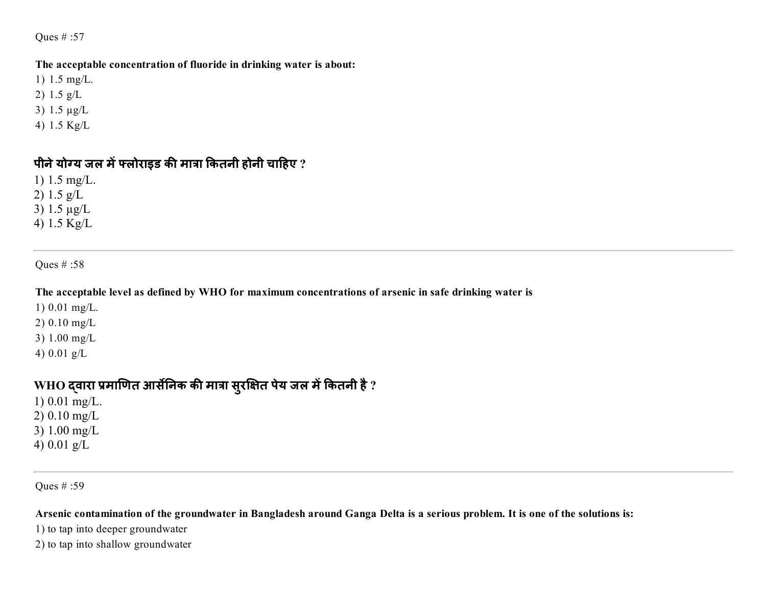#### The acceptable concentration of fluoride in drinking water is about:

- 1) 1.5 mg/L.
- 2) 1.5 g/L
- 3) 1.5 µg/L
- 4) 1.5 Kg/L

#### पीने योग्य जल में फ्लोराइड की मात्रा कितनी होनी चाहिए ?

- 1) 1.5 mg/L. 2) 1.5 g/L
- 3) 1.5 µg/L
- 4) 1.5 Kg/L

#### Ques # :58

#### The acceptable level as defined by WHO for maximum concentrations of arsenic in safe drinking water is

- 1) 0.01 mg/L.
- 2) 0.10 mg/L
- 3) 1.00 mg/L
- 4) 0.01 g/L

### WHO द्वारा प्रमाणित आर्सेनिक की मात्रा सुरक्षित पेय जल में कितनी है ?

- 1) 0.01 mg/L. 2) 0.10 mg/L
- 3) 1.00 mg/L
- 4) 0.01 g/L

#### Ques # :59

#### Arsenic contamination of the groundwater in Bangladesh around Ganga Delta is a serious problem. It is one of the solutions is:

- 1) to tap into deeper groundwater
- 2) to tap into shallow groundwater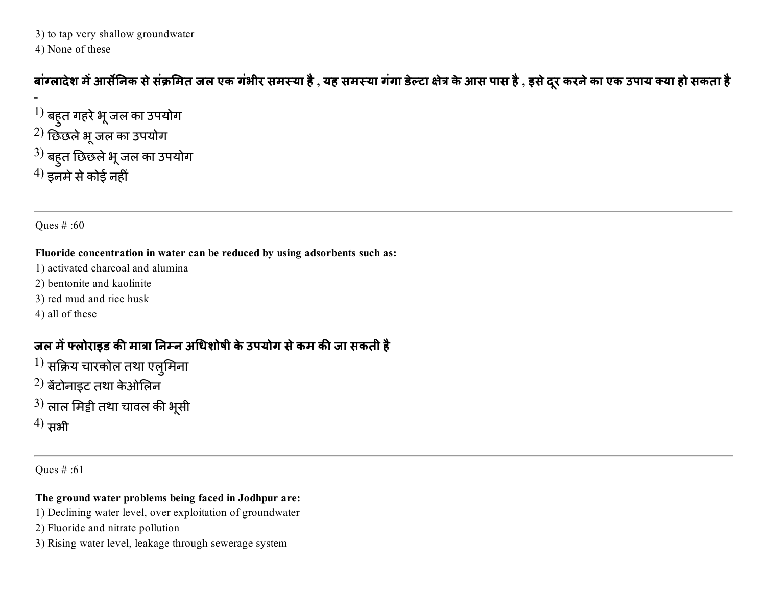3) to tap very shallow groundwater 4) None of these

बाग्लादेश में आर्सेनिक से सक्रमित जल एक गंभीर समस्या है , यह समस्या गगा डेल्टा क्षेत्र के आस पास है , इसे दूर करने का एक उपाय क्या हो सकता है

 $\overline{\phantom{a}}$  $\left|1\right\rangle$  बहुत गहरे भू जल का उपयोग  $^{2)}$  छिछले भू जल का उपयोग  $^{3)}$  बहुत छिछले भू जल का उपयोग  $^{(4)}$  इनमे से कोई नहीं

Ques # :60

#### Fluoride concentration in water can be reduced by using adsorbents such as:

- 1) activated charcoal and alumina
- 2) bentonite and kaolinite
- 3) red mud and rice husk
- 4) all of these

### जल में फ्लोराइड की मात्रा निम्न अधिशोषी के उपयोग से कम की जा सकती है

- $^{1)}$  सक्रिय चारकोल तथा एलुमिना
- $^{2)}$  बेंटोनाइट तथा केओलिन
- $^{3)}$  लाल मिट्टी तथा चावल की भूसी
- $^{(4)}$  सभी

Ques # :61

### The ground water problems being faced in Jodhpur are:

- 1) Declining water level, over exploitation of groundwater
- 2) Fluoride and nitrate pollution
- 3) Rising water level, leakage through sewerage system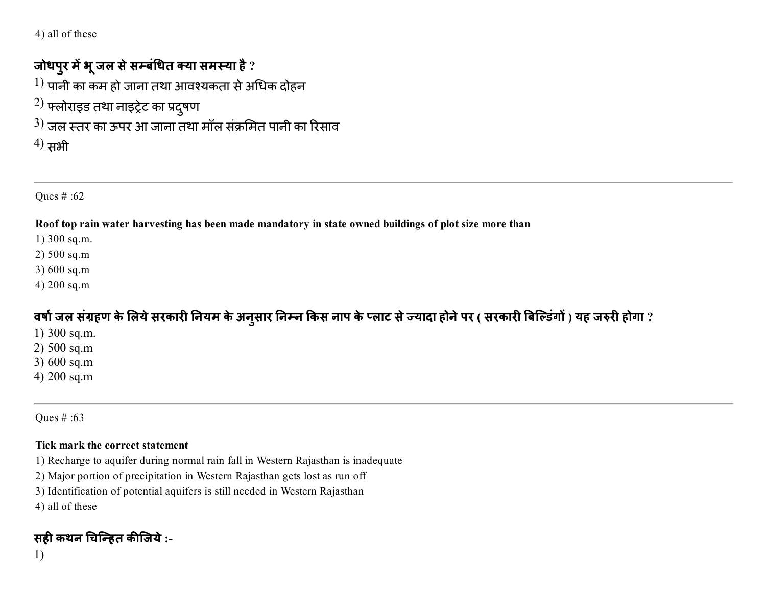4) all of these

### जोधपुर में भू जल से सम्बंधित क्या समस्या है ?

 $^{1)}$  पानी का कम हो जाना तथा आवश्यकता से अधिक दोहन

- $^{2)}$  फ्लोराइड तथा नाइट्रेट का प्रदुषण
- $^{3)}$  जल स्तर का ऊपर आ जाना तथा मॉल संक्रमित पानी का रिसाव
- $^{(4)}$  सभी

Ques # :62

Roof top rain water harvesting has been made mandatory in state owned buildings of plot size more than

- 1) 300 sq.m.
- 2) 500 sq.m
- 3) 600 sq.m
- 4) 200 sq.m

वर्षा जल संग्रहण के लिये सरकारी नियम के अनुसार निम्न किस नाप के प्लाट से ज्यादा होने पर ( सरकारी बिल्डिंगों ) यह जरुरी होगा ?

- 1) 300 sq.m.
- 2) 500 sq.m
- 3) 600 sq.m
- 4) 200 sq.m

Ques # :63

#### Tick mark the correct statement

- 1) Recharge to aquifer during normal rain fall in Western Rajasthan is inadequate
- 2) Major portion of precipitation in Western Rajasthan gets lost as run off
- 3) Identification of potential aquifers is still needed in Western Rajasthan
- 4) all of these

## सही कथन चिन्हित कीजिये :-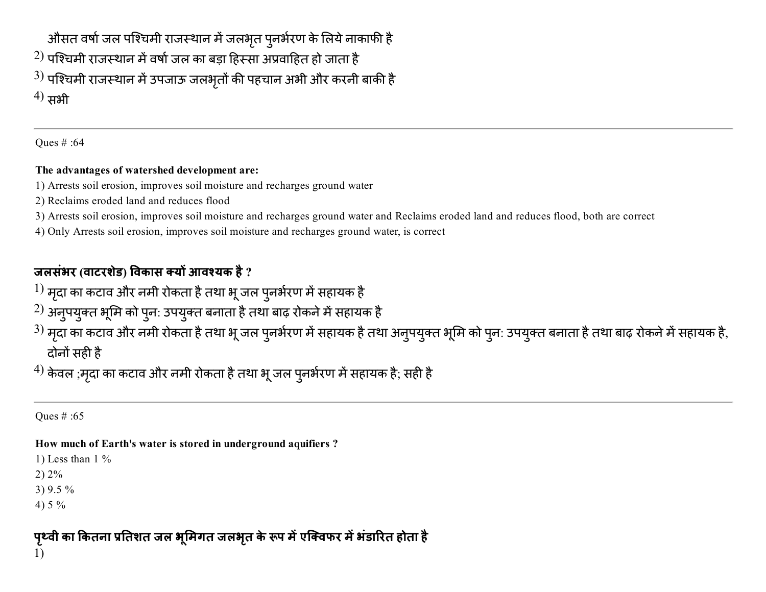औसत वर्षा जल पश्चिमी राजस्थान में जलभृत पुनर्भरण के लिये नाकाफी है  $^{2)}$  पश्चिमी राजस्थान में वर्षा जल का बड़ा हिस्सा अप्रवाहित हो जाता है  $^{3)}$  पश्चिमी राजस्थान में उपजाऊ जलभृतों की पहचान अभी और करनी बाकी है  $^{(4)}$  सभी

Ques # :64

#### The advantages of watershed development are:

- 1) Arrests soil erosion, improves soil moisture and recharges ground water
- 2) Reclaims eroded land and reduces flood
- 3) Arrests soil erosion, improves soil moisture and recharges ground water and Reclaims eroded land and reduces flood, both are correct
- 4) Only Arrests soil erosion, improves soil moisture and recharges ground water, is correct

## जलसंभर (वाटरशेड) विकास क्यों आवश्यक है ?

- $^{1)}$  मृदा का कटाव और नमी रोकता है तथा भू जल पुनर्भरण में सहायक है
- $^{2)}$  अनुपयुक्त भूमि को पुन: उपयुक्त बनाता है तथा बाढ़ रोकने में सहायक है
- $^{3)}$  मृदा का कटाव और नमी रोकता है तथा भू जल पुनर्भरण में सहायक है तथा अनुपयुक्त भूमि को पुन: उपयुक्त बनाता है तथा बाढ़ रोकने में सहायक है, दोनों सही है

 $^{4)}$  केवल ;मृदा का कटाव और नमी रोकता है तथा भू जल पुनर्भरण में सहायक है; सही है

Ques # :65

### How much of Earth's water is stored in underground aquifiers ?

1) Less than  $1\%$ 

2) 2%

3) 9.5 %

4) 5 %

पृथ्वी का कितना प्रतिशत जल भूमिगत जलभृत के रूप में एक्विफर में भडारित होता है 1)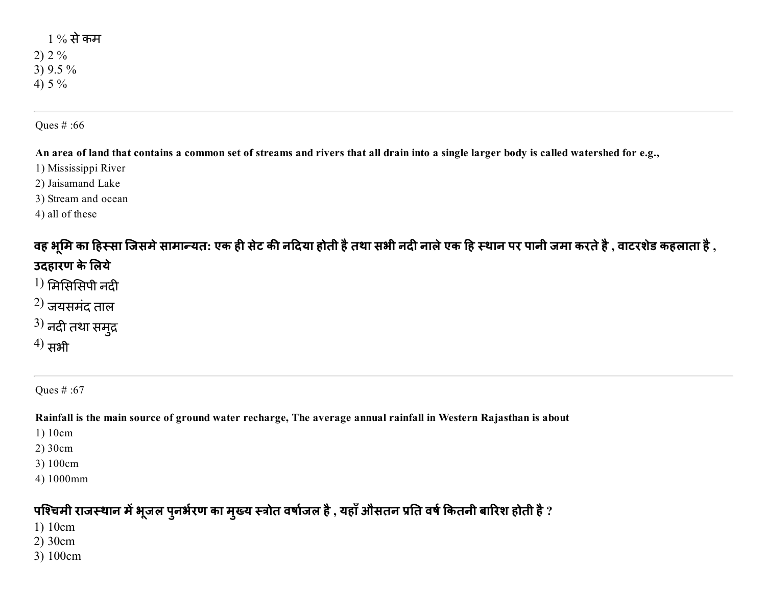### 1 % सेकम 2) 2 % 3) 9.5 % 4) 5 %

#### Ques # :66

An area of land that contains a common set of streams and rivers that all drain into a single larger body is called watershed for e.g.,

- 1) Mississippi River
- 2) Jaisamand Lake
- 3) Stream and ocean
- 4) all of these

### वह भूमि का हिस्सा जिसमे सामान्यत: एक ही सेट की नदिया होती है तथा सभी नदी नाले एक हि स्थान पर पानी जमा करते है , वाटरशेड कहलाता है , उदहारण के लिये

- $1)$  मिसिसिपी नदी
- $^{2)}$  जयसमंद ताल
- $^{3)}$  नदी तथा समुद्र
- $^{(4)}$  सभी

Ques # :67

Rainfall is the main source of ground water recharge, The average annual rainfall in Western Rajasthan is about

- 1) 10cm
- 2) 30cm
- 3) 100cm
- 4) 1000mm

### पश्चिमी राजस्थान में भूजल पुनर्भरण का मुख्य स्त्रोत वर्षाजल है , यहाँ औसतन प्रति वर्ष कितनी बारिश होती है ?

- 1) 10cm
- 2) 30cm
- 3) 100cm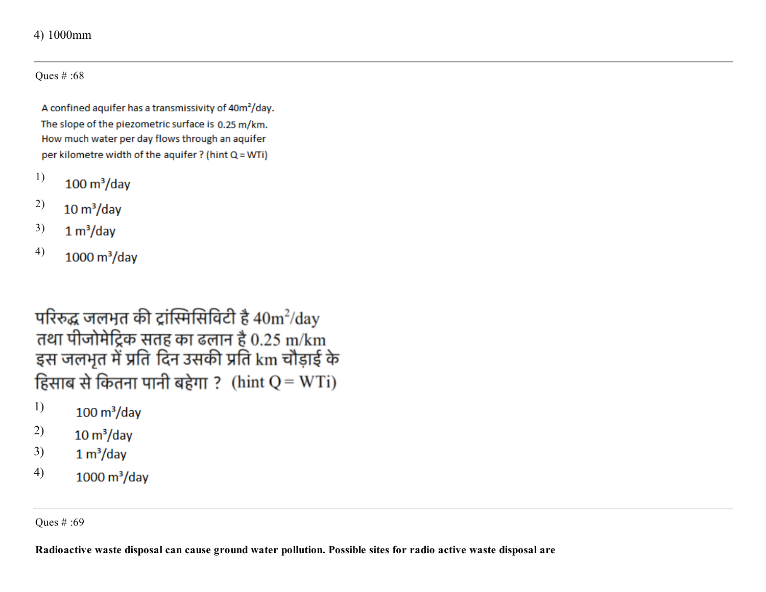#### 4) 1000mm

Ques # :68

A confined aquifer has a transmissivity of 40m<sup>2</sup>/day. The slope of the piezometric surface is 0.25 m/km. How much water per day flows through an aquifer per kilometre width of the aquifer ? (hint Q = WTi)

- 1)  $100 \text{ m}^3/\text{day}$
- 2)  $10 \text{ m}^3/\text{day}$
- 3)  $1 m<sup>3</sup>/day$
- 4)  $1000 \text{ m}^3/\text{day}$

परिरुद्ध जलभूत की ट्रांस्मिसिविटी है  $40 \text{m}^2/\text{day}$ तथा पीजोमेट्रिक सतह का ढलान है 0.25 m/km इस जलभूत में प्रति दिन उसकी प्रति km चौड़ाई के हिसाब से कितना पानी बहेगा ? (hint  $Q = WTi$ )

- 1)  $100 \text{ m}^3/\text{day}$
- 2)  $10 \text{ m}^3/\text{day}$
- 3)  $1 m<sup>3</sup>/day$
- 4)  $1000 \text{ m}^3/\text{day}$

Ques # :69

Radioactive waste disposal can cause ground water pollution. Possible sites for radio active waste disposal are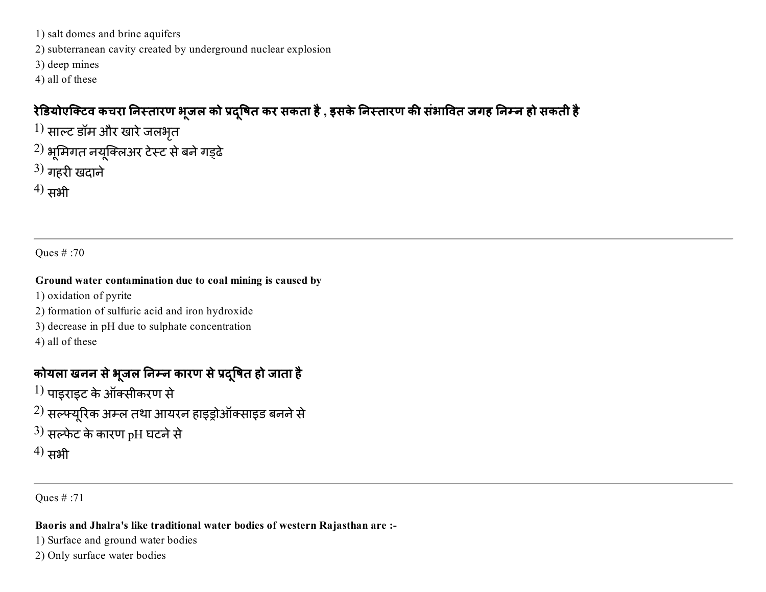1) salt domes and brine aquifers

2) subterranean cavity created by underground nuclear explosion

3) deep mines

4) all of these

### रेडियोएक्टिव कचरा निस्तारण भूजल को प्रदूषित कर सकता है , इसके निस्तारण की संभावित जगह निम्न हो सकती है

- $\left(1\right)$  साल्ट डॉम और खारे जलभृत
- $^{2)}$  भूमिगत नयूक्लिअर टेस्ट से बने गड्ढे
- $^{3)}$  गहरी खदाने
- $^{(4)}$  सभी

Ques # :70

#### Ground water contamination due to coal mining is caused by

- 1) oxidation of pyrite
- 2) formation of sulfuric acid and iron hydroxide
- 3) decrease in pH due to sulphate concentration
- 4) all of these

## कोयला खनन से भूजल निम्न कारण से प्रद्षित हो जाता है

- $\left(1\right)$  पाइराइट के ऑक्सीकरण से
- $^{2)}$  सल्फ्यूरिक अम्ल तथा आयरन हाइड्रोऑक्साइड बनने से
- $^{(3)}$  सल्फेट के कारण pH घटने से
- $^{(4)}$  सभी

Ques # :71

#### Baoris and Jhalra's like traditional water bodies of western Rajasthan are :

- 1) Surface and ground water bodies
- 2) Only surface water bodies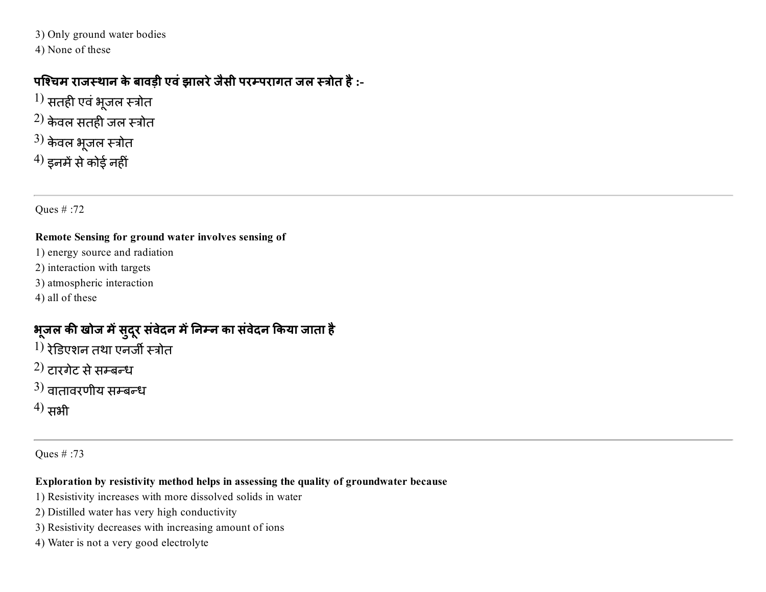3) Only ground water bodies

4) None of these

### पश्चिम राजस्थान के बावड़ी एवं झालरे जैसी परम्परागत जल स्त्रोत है :-

- $^{1)}$  सतही एवं भूजल स्त्रोत
- $^{2)}$  केवल सतही जल स्त्रोत
- $3)$  केवल भूजल स्त्रोत
- $^{4)}$  इनमें से कोई नहीं

Ques # :72

#### Remote Sensing for ground water involves sensing of

- 1) energy source and radiation
- 2) interaction with targets
- 3) atmospheric interaction
- 4) all of these

## भूजल की खोज में सुदूर संवेदन में निम्न का संवेदन किया जाता है

- $^{1)}$  रेडिएशन तथा एनर्जी स्त्रोत
- $(2)$  टारगेट से सम्बन्ध
- $(3)$  वातावरणीय सम्बन्ध
- $^{(4)}$  सभी

Ques # :73

#### Exploration by resistivity method helps in assessing the quality of groundwater because

- 1) Resistivity increases with more dissolved solids in water
- 2) Distilled water has very high conductivity
- 3) Resistivity decreases with increasing amount of ions
- 4) Water is not a very good electrolyte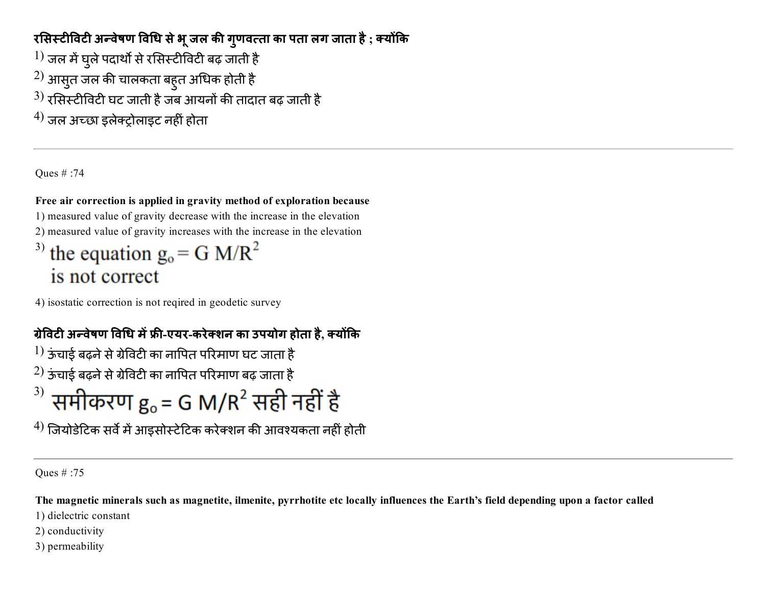### रसिस्टीविटी अन्वेषण विधि से भू जल की गुणवत्ता का पता लग जाता है ; क्योंकि

- $^{1)}$  जल में घुले पदार्थों से रसिस्टीविटी बढ़ जाती है
- $^{\rm 2)}$  आसुत जल की चालकता बहुत अधिक होती है
- $^{3)}$  रसिस्टीविटी घट जाती है जब आयनों की तादात बढ़ जाती है
- $^{4)}$  जल अच्छा डलेक्टोलाइट नहीं होता

Ques # :74

### Free air correction is applied in gravity method of exploration because

1) measured value of gravity decrease with the increase in the elevation

2) measured value of gravity increases with the increase in the elevation

# <sup>3)</sup> the equation  $g_0 = G M/R^2$ is not correct

4) isostatic correction is not reqired in geodetic survey

## ग्रेविटी अन्वेषण विधि में फ्री-एयर-करेक्शन का उपयोग होता है, क्योंकि

 $\ket{1}$  ऊंचाई बढ़ने से ग्रेविटी का नापित परिमाण घट जाता है

- $^{2)}$  ऊंचाई बढ़ने से ग्रेविटी का नापित परिमाण बढ़ जाता है
- $^{3)}$  समीकरण g = G M/R<sup>2</sup> सही नहीं है

 $^{4)}$  जियोडेटिक सर्वे में आइसोस्टेटिक करेक्शन की आवश्यकता नहीं होती

Ques # :75

The magnetic minerals such as magnetite, ilmenite, pyrrhotite etc locally influences the Earth's field depending upon a factor called

1) dielectric constant

2) conductivity

3) permeability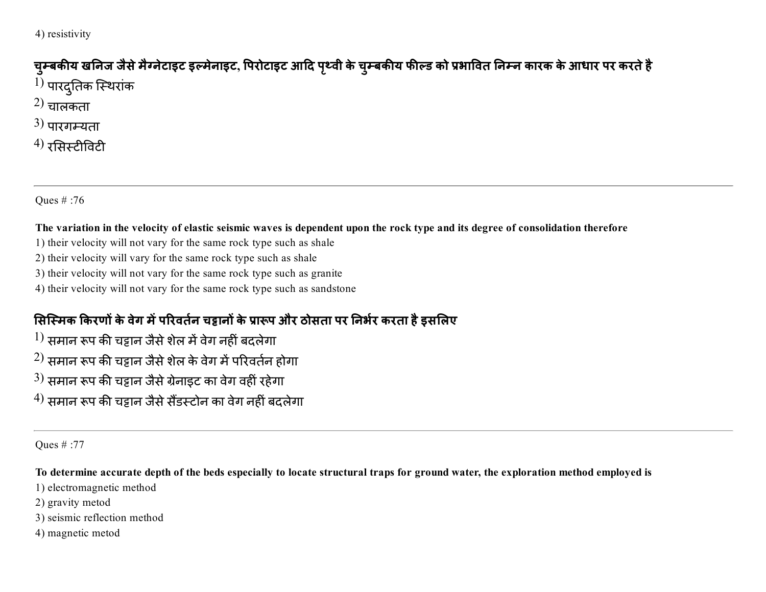4) resistivity

## चुम्बकीय खनिज जैसे मैग्नेटाइट इल्मेनाइट, पिरोटाइट आदि पृथ्वी के चुम्बकीय फील्ड को प्रभावित निम्न कारक के आधार पर करते है  $^{1)}$  पारदुतिक स्थिरांक

- $(2)$  चालकता
- $3)$  पारगम्यता
- $^{(4)}$  रसिस्टीविटी

Ques # :76

#### The variation in the velocity of elastic seismic waves is dependent upon the rock type and its degree of consolidation therefore

- 1) their velocity will not vary for the same rock type such as shale
- 2) their velocity will vary for the same rock type such as shale
- 3) their velocity will not vary for the same rock type such as granite
- 4) their velocity will not vary for the same rock type such as sandstone

### सिस्मिक किरणों के वेग में परिवर्तन चट्टानों के प्रारूप और ठोसता पर निर्भर करता है इसलिए

- $^{1)}$  समान रूप की चट्टान जैसे शेल में वेग नहीं बदलेगा
- $^{2)}$  समान रूप की चट्टान जैसे शेल के वेग में परिवर्तन होगा
- $^{3)}$  समान रूप की चट्टान जैसे ग्रेनाइट का वेग वहीं रहेगा
- $^{4)}$  समान रूप की चट्टान जैसे सैंडस्टोन का वेग नहीं बदलेगा

Ques # :77

### To determine accurate depth of the beds especially to locate structural traps for ground water, the exploration method employed is

- 1) electromagnetic method
- 2) gravity metod
- 3) seismic reflection method
- 4) magnetic metod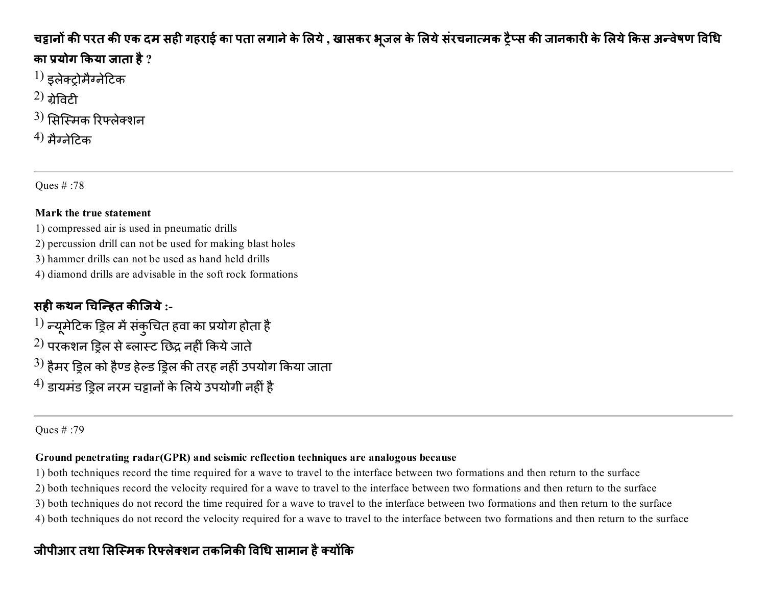### चट्टानों की परत की एक दम सही गहराई का पता लगाने के लिये , खासकर भूजल के लिये सरचनात्मक ट्रैप्स की जानकारी के लिये किस अन्वेषण विधि का प्रयोग किया जाता है  $?$

- $\left( 1\right)$  इलेक्टोमैग्नेटिक
- $(2)$  <u>and</u>
- $^{\rm 3)}$  सिस्मिक रिफ्लेक्शन
- $(4)$  मैग्नेटिक

Ques # :78

#### Mark the true statement

- 1) compressed air is used in pneumatic drills
- 2) percussion drill can not be used for making blast holes
- 3) hammer drills can not be used as hand held drills
- 4) diamond drills are advisable in the soft rock formations

## सही कथन चिन्हित कीजिये :-

 $^{1)}$  न्यूमेटिक ड्रिल में संकुचित हवा का प्रयोग होता है  $^{2)}$  परकशन डिल से ब्लास्ट छिद्र नहीं किये जाते  $^{3)}$  हैमर ड्रिल को हैण्ड हेल्ड ड्रिल की तरह नहीं उपयोग किया जाता  $^{4)}$  डायमंड डिल नरम चड़ानों के लिये उपयोगी नहीं है

Ques # :79

#### Ground penetrating radar(GPR) and seismic reflection techniques are analogous because

1) both techniques record the time required for a wave to travel to the interface between two formations and then return to the surface

2) both techniques record the velocity required for a wave to travel to the interface between two formations and then return to the surface

3) both techniques do not record the time required for a wave to travel to the interface between two formations and then return to the surface

4) both techniques do not record the velocity required for a wave to travel to the interface between two formations and then return to the surface

### जीपीआर तथा सिस्मिक रिफ्लेक्शन तकनिकी विधि सामान है क्योंकि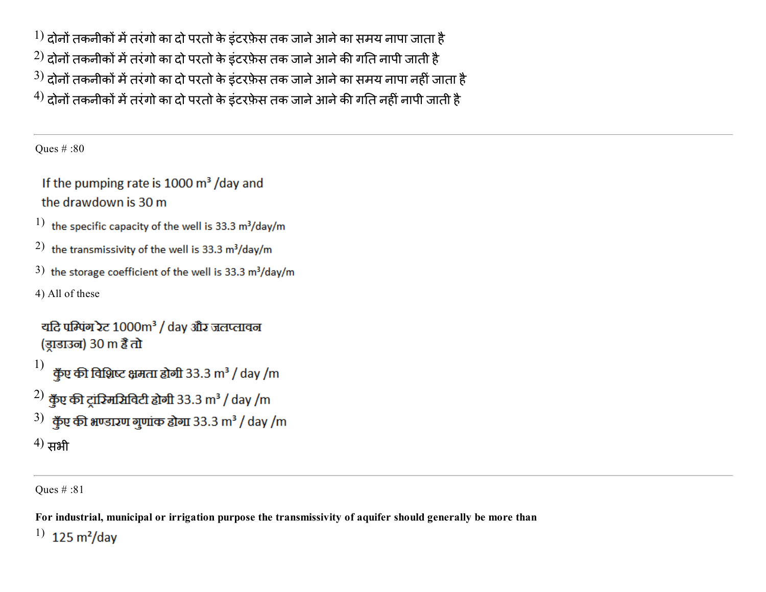$\rm ^1)$  दोनों तकनीकों में तरंगो का दो परतो के इंटरफ़ेस तक जाने आने का समय नापा जाता है  $^{2)}$  दोनों तकनीकों में तरंगो का दो परतो के इंटरफ़ेस तक जाने आने की गति नापी जाती है  $^{3)}$  दोनों तकनीकों में तरंगो का दो परतो के इंटरफ़ेस तक जाने आने का समय नापा नहीं जाता है  $^{4)}$  दोनों तकनीकों में तरंगो का दो परतो के इंटरफ़ेस तक जाने आने की गति नहीं नापी जाती है

Ques # :80

If the pumping rate is 1000  $\mathrm{m}^3$  /day and the drawdown is 30 m

- 1) the specific capacity of the well is 33.3  $m^3$ /day/m
- 2) the transmissivity of the well is 33.3  $m^3$ /day/m
- 3) the storage coefficient of the well is 33.3  $m^3$ /day/m
- 4) All of these

```
यदि पम्पिंग रेट 1000m<sup>3</sup> / day और जलप्लावन
(ड़ाडाउन) 30 m हैं तो
```

```
1)
    कुँए की विशिष्ट क्षमता होगी 33.3 m<sup>3</sup> / day /m
```
 $^{2)}$  कुँए की ट्रांग्मिसिविटी होगी 33.3 m $^{3}$  / day /m

```
3) क्रूँए की भण्डारण गुणांक होगा 33.3 m<sup>3</sup> / day /m
```

```
^{(4)} सभी
```
Ques # :81

For industrial, municipal or irrigation purpose the transmissivity of aquifer should generally be more than

1) $125 \text{ m}^2/\text{day}$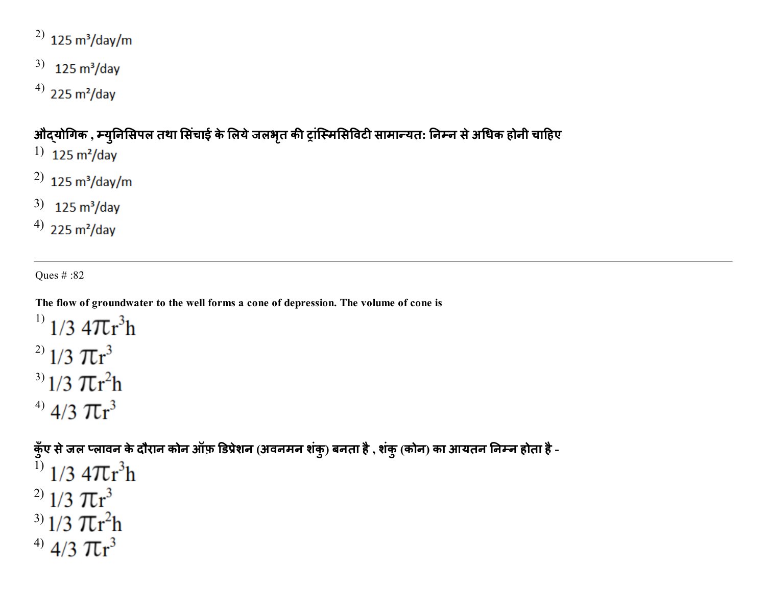## $^{2)}$  125 m<sup>3</sup>/day/m

- $3)$  125 m<sup>3</sup>/day
- $^{(4)}$  225 m<sup>2</sup>/day

## औद्योगिक , म्युनिसिपल तथा सिंचाई के लिये जलभृत की ट्रांस्मिसिविटी सामान्यत: निम्न से अधिक होनी चाहिए

- 1)  $125 \text{ m}^2/\text{day}$
- $^{2)}$  125 m<sup>3</sup>/day/m
- $3)$  125 m<sup>3</sup>/day
- $^{(4)}$  225 m<sup>2</sup>/day

Ques # :82

The flow of groundwater to the well forms a cone of depression. The volume of cone is

 $^{1)}$  1/3 4 $\pi$ r<sup>3</sup>h <sup>2)</sup>  $1/3 \pi r^3$ <sup>3)</sup>  $1/3 \pi r^2 h$ <sup>4)</sup>  $4/3 \pi r^3$ 

कुँए से जल प्लावन के दौरान कोन ऑफ़ डिप्रेशन (अवनमन शंकु) बनता है , शंकु (कोन) का आयतन निम्न होता है - $^{1)}$  1/3 4 $\pi r^3 h$ 

- <sup>2)</sup>  $1/3 \pi r^3$ <sup>3)</sup>  $1/3 \pi r^2 h$
- <sup>4)</sup> 4/3  $\pi r^3$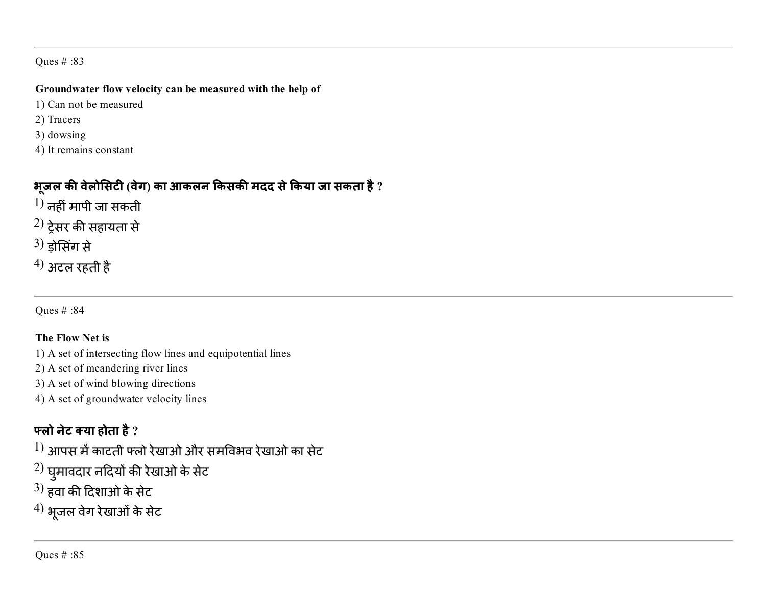#### Groundwater flow velocity can be measured with the help of

- 1) Can not be measured
- 2) Tracers
- 3) dowsing
- 4) It remains constant

### भूजल की वेलोसिटी (वेग) का आकलन किसकी मदद से किया जा सकता है ?

- $\left(1\right)$  नहीं मापी जा सकती
- $^{(2)}$  ट्रेसर की सहायता से
- $(3)$  ड़ोसिंग से
- $^{4)}$  अटल रहती है

Ques # :84

#### The Flow Net is

- 1) A set of intersecting flow lines and equipotential lines
- 2) A set of meandering river lines
- 3) A set of wind blowing directions
- 4) A set of groundwater velocity lines

### फ्लो नेट क्या होता है  $?$

- $^{1)}$  आपस में काटती फ्लो रेखाओ और समविभव रेखाओ का सेट
- $^{2)}$  घुमावदार नदियों की रेखाओ के सेट $^{\rm 2}$
- $^{3)}$  हवा की दिशाओ के सेट
- $^{(4)}$  भूजल वेग रेखाओं के सेट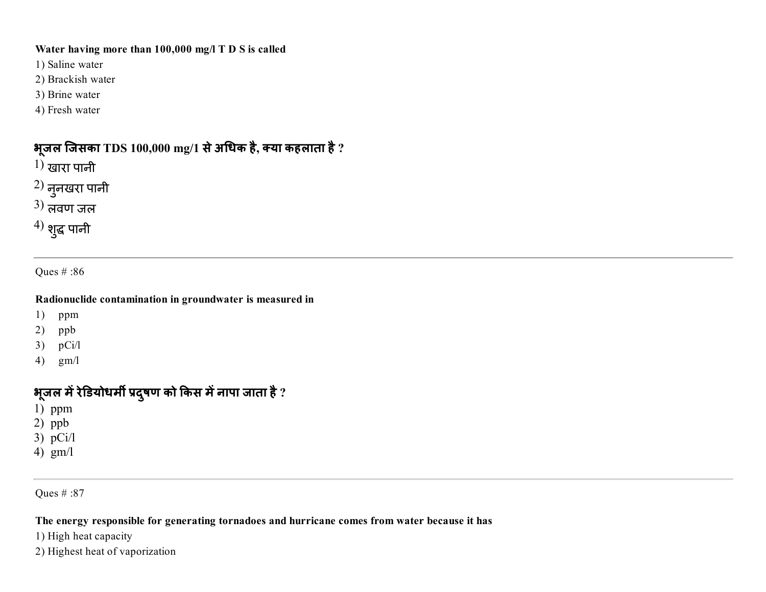#### Water having more than 100,000 mg/l T D S is called

- 1) Saline water
- 2) Brackish water
- 3) Brine water
- 4) Fresh water

### भूजल जिसका TDS 100,000 mg/1 से अधिक है, क्या कहलाता है ?

- $1)$  खारा पानी
- $^{(2)}$  नुनखरा पानी
- $3)$  लवण जल
- $^{\prime 4)}$  शुद्ध पानी

Ques # :86

#### Radionuclide contamination in groundwater is measured in

- 1) ppm
- 2) ppb
- 3) pCi/l
- 4) gm/l

### भूजल में रेडियोधमी प्रदुषण को किस में नापा जाता है ?

- 1) ppm
- 2) ppb
- 3) pCi/l
- 4) gm/l

Ques # :87

#### The energy responsible for generating tornadoes and hurricane comes from water because it has

- 1) High heat capacity
- 2) Highest heat of vaporization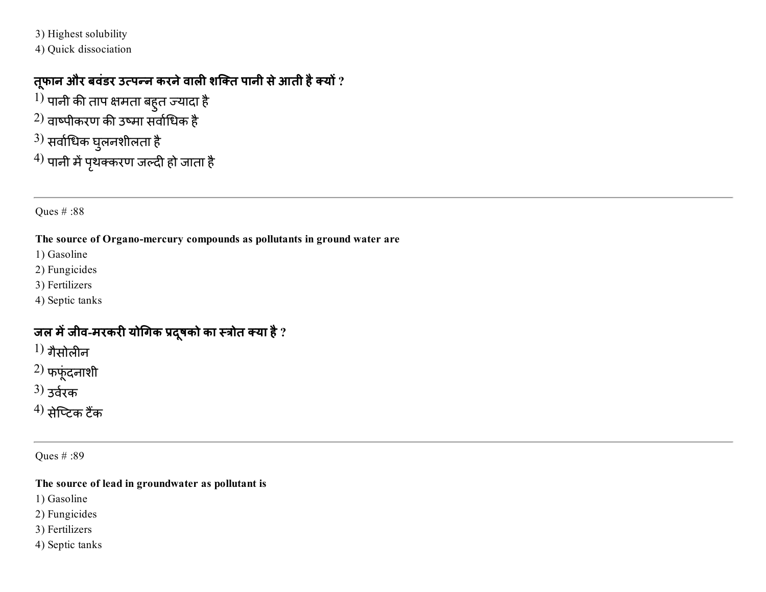3) Highest solubility

4) Quick dissociation

### तूफान और बवंडर उत्पन्न करने वाली शक्ति पानी से आती है क्यों ?

 $^{1)}$  पानी की ताप क्षमता बहुत ज्यादा है  $^{2)}$  वाष्पीकरण की उष्मा सर्वाधिक है  $^{3)}$  सर्वाधिक घुलनशीलता है  $^{\prime 4)}$  पानी में पृथक्करण जल्दी हो जाता है

Ques # :88

#### The source of Organo-mercury compounds as pollutants in ground water are

- 1) Gasoline
- 2) Fungicides
- 3) Fertilizers
- 4) Septic tanks

### जल में जीव-मरकरी योगिक प्रदूषको का स्त्रोत क्या है ?

- $1)$  गैसोलीन
- $^{2)}$  फफूंदनाशी
- $3)$  उर्वरक
- $^{(4)}$  सेप्टिक टैंक

Ques # :89

#### The source of lead in groundwater as pollutant is

- 1) Gasoline
- 2) Fungicides
- 3) Fertilizers
- 4) Septic tanks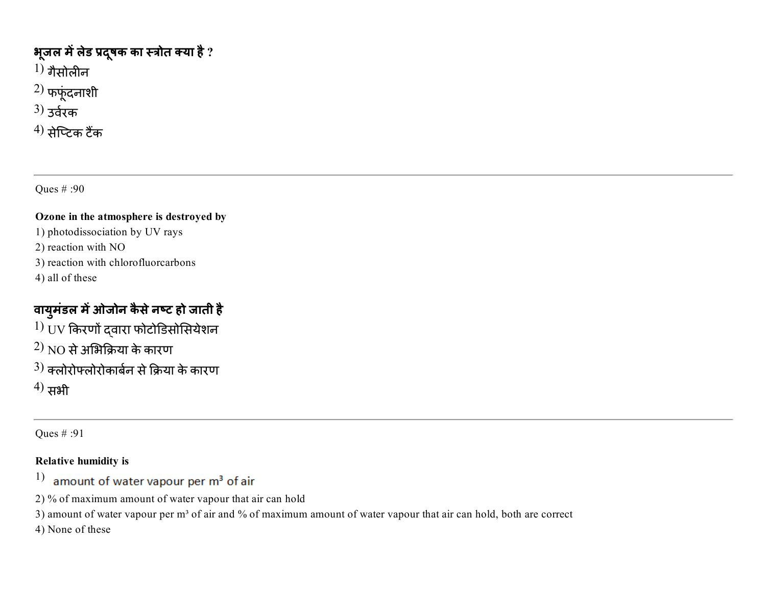### भूजल में लेड प्रदूषक का स्त्रोत क्या है ?

- $^{1)}$  गैसोलीन $\,$
- $2)$  फफूंदनाशी
- $3)$  उर्वरक
- $^{(4)}$  सेप्टिक टैंक

Ques # :90

#### Ozone in the atmosphere is destroyed by

- 1) photodissociation by UV rays
- 2) reaction with NO
- 3) reaction with chlorofluorcarbons
- 4) all of these

## वायुमडल में ओजोन कैसे नष्ट हो जाती है

- $^{1)}$  UV किरणों दवारा फोटोडिसोसियेशन
- $^{2)}$  NO से अभिक्रिया के कारण
- $^{3)}$  क्लोरोफ्लोरोकार्बन से क्रिया के कारण
- $^{(4)}$  सभी

Ques # :91

#### Relative humidity is

- 1) amount of water vapour per m<sup>3</sup> of air
- 2) % of maximum amount of water vapour that air can hold
- 3) amount of water vapour per m<sup>3</sup> of air and % of maximum amount of water vapour that air can hold, both are correct
- 4) None of these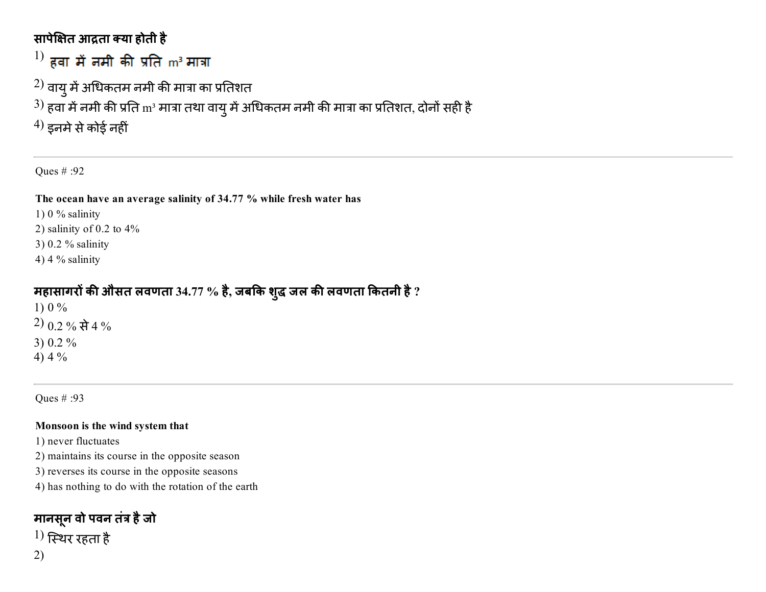### सापेक्षित आद्रता क्या होती है

 $^{1)}$  हवा में नमी की प्रति m $^{\rm 3}$  मात्रा

 $^{2)}$  वायु में अधिकतम नमी की मात्रा का प्रतिशत

 $^{3)}$  हवा में नमी की प्रति  $\mathrm{m}^{_3}$  मात्रा तथा वायु में अधिकतम नमी की मात्रा का प्रतिशत, दोनों सही है

 $^{(4)}$  इनमे से कोई नहीं

Ques # :92

The ocean have an average salinity of 34.77 % while fresh water has

1)  $0\%$  salinity

2) salinity of 0.2 to  $4\%$ 

3) 0.2 % salinity

4) 4  $%$  salinity

### महासागरों की औसत लवणता 34.77 % है, जबकि शुद्ध जल की लवणता कितनी है ?

1)  $0\%$ 2) 0.2 % से 4 % 3) 0.2 % 4)  $4\%$ 

Ques # :93

#### Monsoon is the wind system that

1) never fluctuates

2) maintains its course in the opposite season

3) reverses its course in the opposite seasons

4) has nothing to do with the rotation of the earth

### मानसनूवो पवन तं꤆ हैजो

 $^{1)}$  स्थिर रहता है 2)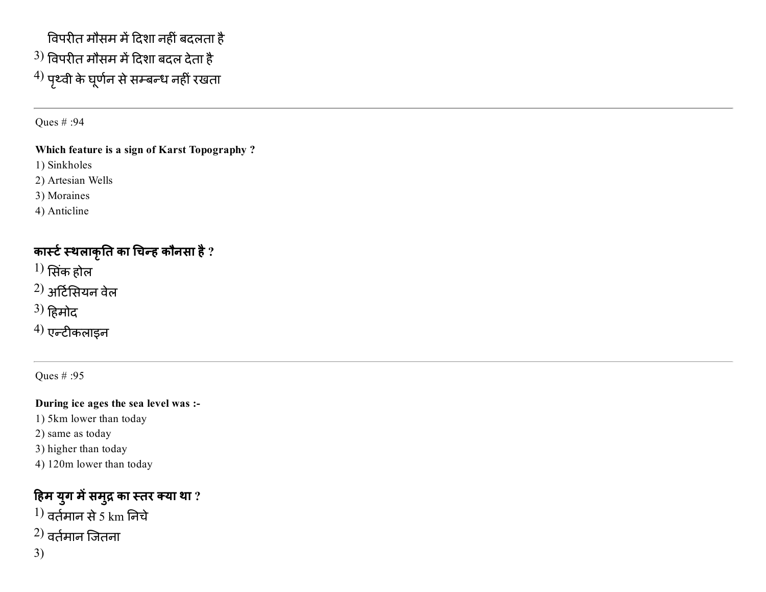## विपरीत मौसम में दिशा नहीं बदलता है  $^{\rm 3)}$  विपरीत मौसम में दिशा बदल देता है  $^{\prime 4)}$  पृथ्वी के घूर्णन से सम्बन्ध नहीं रखता

Ques # :94

#### Which feature is a sign of Karst Topography ?

1) Sinkholes

2) Artesian Wells

3) Moraines

4) Anticline

### कार्स्ट स्थलाकृति का चिन्ह कौनसा है ?

 $1)$  सिंक होल

 $^{2)}$  अर्टिसियन वेल

 $^{3)}$  हिमोद

 $4)$  एन्टीकलाइन

Ques # :95

### During ice ages the sea level was :

1) 5km lower than today

2) same as today

3) higher than today

4) 120m lower than today

### हिम युग में समुद्र का स्तर क्या था ?  $1)$  वर्तमान से 5 km निचे

 $(2)$  वर्तमान जितना

3)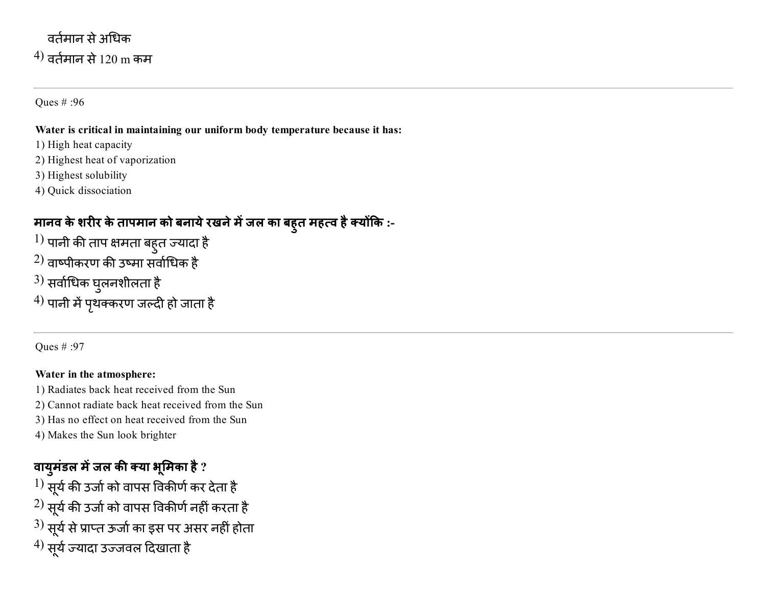## वर्तमान से अधिक  $^{(4)}$  वर्तमान से 120 m कम

Ques # :96

#### Water is critical in maintaining our uniform body temperature because it has:

- 1) High heat capacity
- 2) Highest heat of vaporization
- 3) Highest solubility
- 4) Quick dissociation

## मानव के शरीर के तापमान को बनाये रखने में जल का बहुत महत्व है क्योंकि :-

- $^{1)}$  पानी की ताप क्षमता बहुत ज्यादा है
- $^{2)}$  वाष्पीकरण की उष्मा सर्वाधिक है
- $^{3)}$  सर्वाधिक घुलनशीलता है
- $^{\prime 4)}$  पानी में पृथक्करण जल्दी हो जाता है

Ques # :97

#### Water in the atmosphere:

- 1) Radiates back heat received from the Sun
- 2) Cannot radiate back heat received from the Sun
- 3) Has no effect on heat received from the Sun
- 4) Makes the Sun look brighter

## वायुमंडल में जल की क्या भूमिका है ?

 $^{1)}$  सूर्य की उर्जा को वापस विकीर्ण कर देता है  $^{2)}$  सूर्य की उर्जा को वापस विकीर्ण नहीं करता है  $^{3)}$  सूर्य से प्राप्त ऊर्जा का इस पर असर नहीं होता  $^{4)}$  सूर्य ज्यादा उज्जवल दिखाता है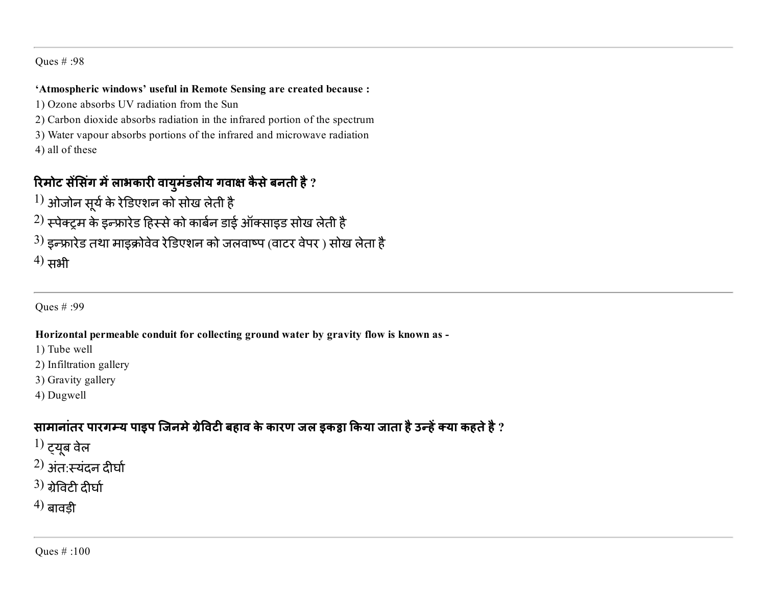#### 'Atmospheric windows' useful in Remote Sensing are created because :

- 1) Ozone absorbs UV radiation from the Sun
- 2) Carbon dioxide absorbs radiation in the infrared portion of the spectrum
- 3) Water vapour absorbs portions of the infrared and microwave radiation 4) all of these

### रिमोट सेसिंग में लाभकारी वायुमंडलीय गवाक्ष कैसे बनती है ?

- $\left\vert 1\right\rangle$  ओजोन सूर्य के रेडिएशन को सोख लेती है
- $^{2)}$  स्पेक्ट्रम के इन्फ्रारेड हिस्से को कार्बन डाई ऑक्साइड सोख लेती है
- $^{3)}$  इन्फ्रारेड तथा माइक्रोवेव रेडिएशन को जलवाष्प (वाटर वेपर ) सोख लेता है

 $^{(4)}$  सभी

Ques # :99

#### Horizontal permeable conduit for collecting ground water by gravity flow is known as

1) Tube well

- 2) Infiltration gallery
- 3) Gravity gallery
- 4) Dugwell

### सामानांतर पारगम्य पाइप जिनमे ग्रेविटी बहाव के कारण जल इकट्ठा किया जाता है उन्हें क्या कहते है ?

- $1)$  ट्यूब वेल
- $^{2)}$  अंत<sup>:</sup>स्यंदन दीर्घा
- $3)$  ग्रेविटी दीर्घा
- $(4)$  बावडी